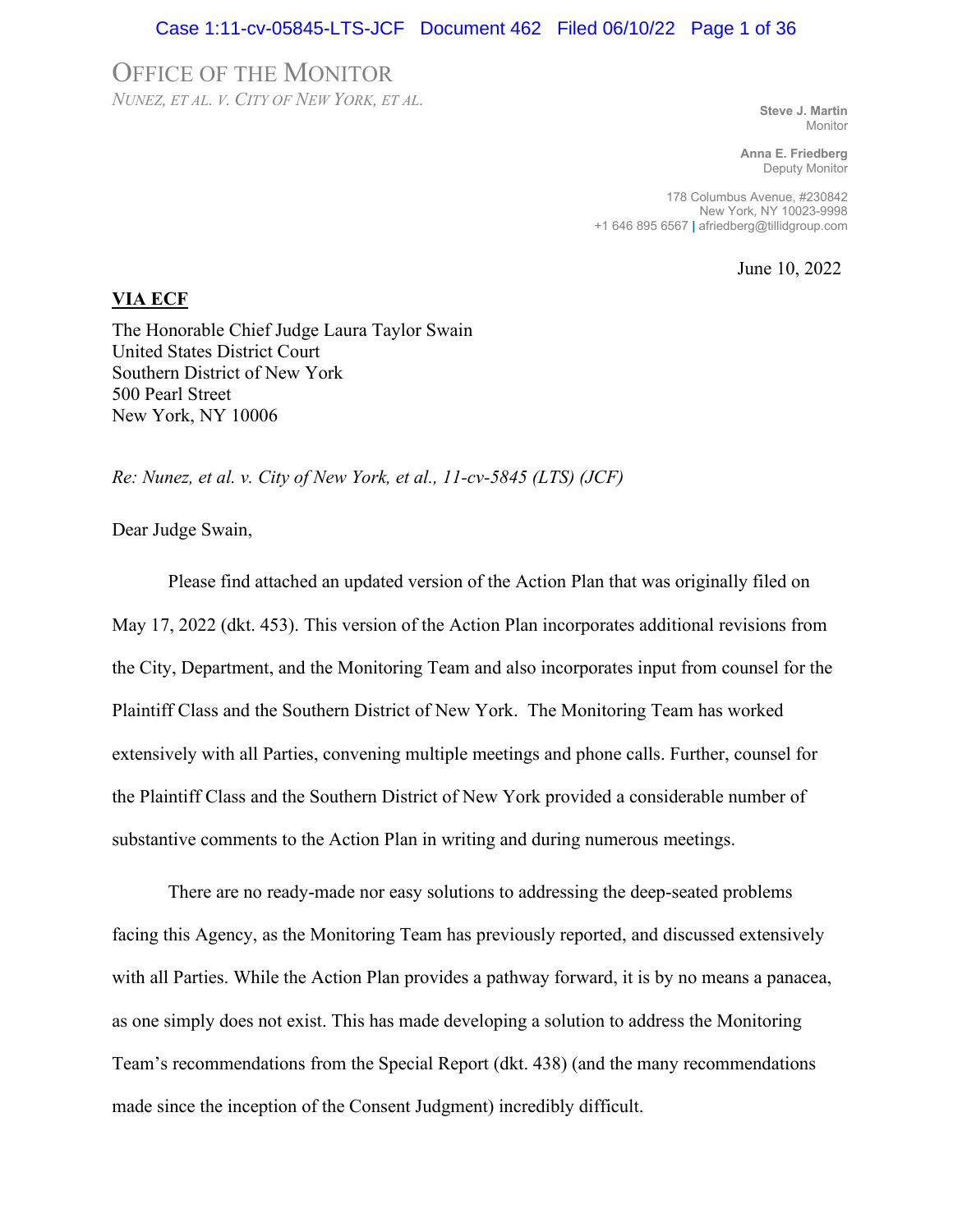#### Case 1:11-cv-05845-LTS-JCF Document 462 Filed 06/10/22 Page 1 of 36

## OFFICE OF THE MONITOR

*NUNEZ, ET AL. V. CITY OF NEW YORK, ET AL.* **Steve J. Martin**

Monitor

**Anna E. Friedberg** Deputy Monitor

178 Columbus Avenue, #230842 New York, NY 10023-9998 +1 646 895 6567 **|** afriedberg@tillidgroup.com

June 10, 2022

#### **VIA ECF**

The Honorable Chief Judge Laura Taylor Swain United States District Court Southern District of New York 500 Pearl Street New York, NY 10006

*Re: Nunez, et al. v. City of New York, et al., 11-cv-5845 (LTS) (JCF)*

Dear Judge Swain,

Please find attached an updated version of the Action Plan that was originally filed on May 17, 2022 (dkt. 453). This version of the Action Plan incorporates additional revisions from the City, Department, and the Monitoring Team and also incorporates input from counsel for the Plaintiff Class and the Southern District of New York. The Monitoring Team has worked extensively with all Parties, convening multiple meetings and phone calls. Further, counsel for the Plaintiff Class and the Southern District of New York provided a considerable number of substantive comments to the Action Plan in writing and during numerous meetings.

There are no ready-made nor easy solutions to addressing the deep-seated problems facing this Agency, as the Monitoring Team has previously reported, and discussed extensively with all Parties. While the Action Plan provides a pathway forward, it is by no means a panacea, as one simply does not exist. This has made developing a solution to address the Monitoring Team's recommendations from the Special Report (dkt. 438) (and the many recommendations made since the inception of the Consent Judgment) incredibly difficult.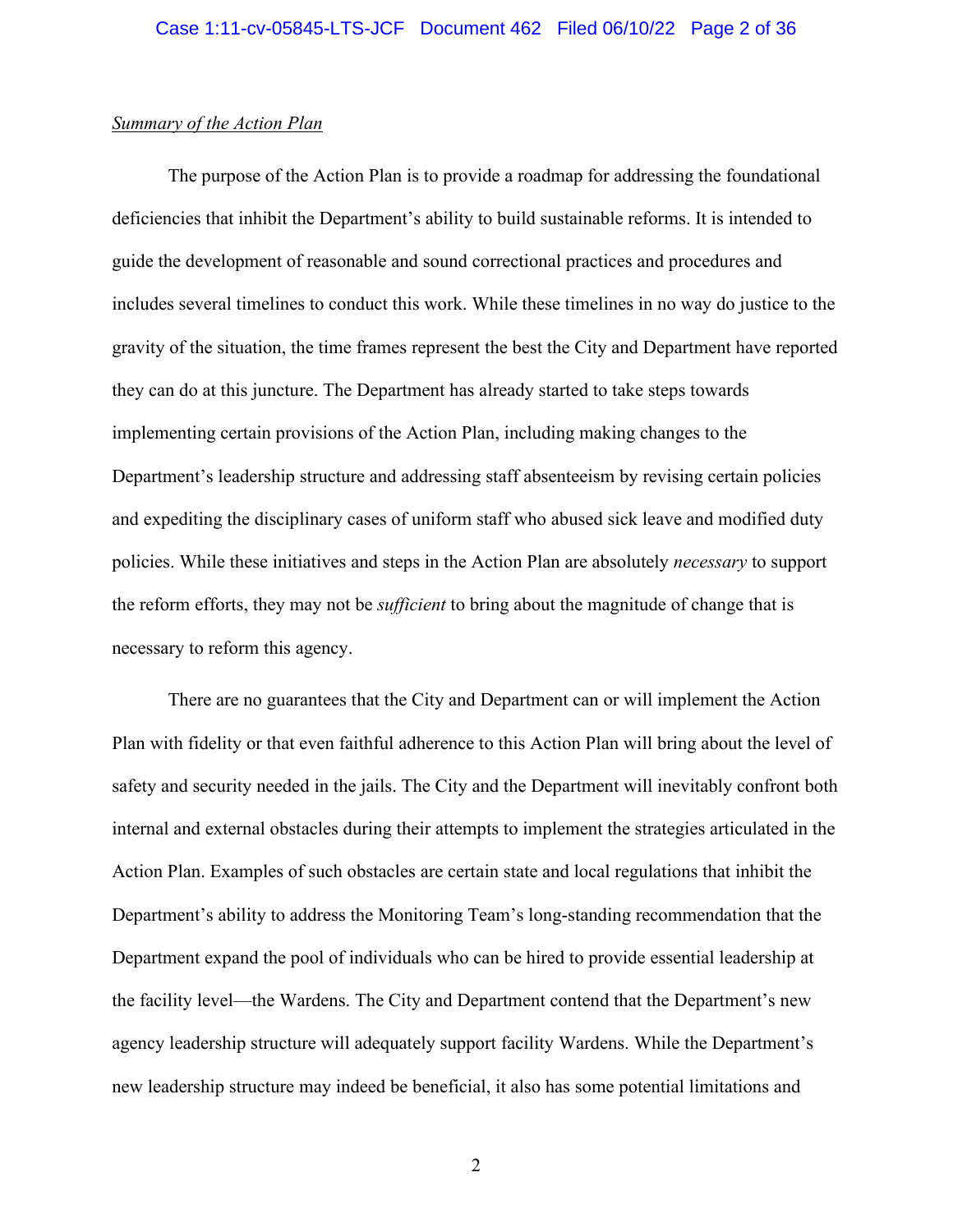## *Summary of the Action Plan*

The purpose of the Action Plan is to provide a roadmap for addressing the foundational deficiencies that inhibit the Department's ability to build sustainable reforms. It is intended to guide the development of reasonable and sound correctional practices and procedures and includes several timelines to conduct this work. While these timelines in no way do justice to the gravity of the situation, the time frames represent the best the City and Department have reported they can do at this juncture. The Department has already started to take steps towards implementing certain provisions of the Action Plan, including making changes to the Department's leadership structure and addressing staff absenteeism by revising certain policies and expediting the disciplinary cases of uniform staff who abused sick leave and modified duty policies. While these initiatives and steps in the Action Plan are absolutely *necessary* to support the reform efforts, they may not be *sufficient* to bring about the magnitude of change that is necessary to reform this agency.

There are no guarantees that the City and Department can or will implement the Action Plan with fidelity or that even faithful adherence to this Action Plan will bring about the level of safety and security needed in the jails. The City and the Department will inevitably confront both internal and external obstacles during their attempts to implement the strategies articulated in the Action Plan. Examples of such obstacles are certain state and local regulations that inhibit the Department's ability to address the Monitoring Team's long-standing recommendation that the Department expand the pool of individuals who can be hired to provide essential leadership at the facility level—the Wardens. The City and Department contend that the Department's new agency leadership structure will adequately support facility Wardens. While the Department's new leadership structure may indeed be beneficial, it also has some potential limitations and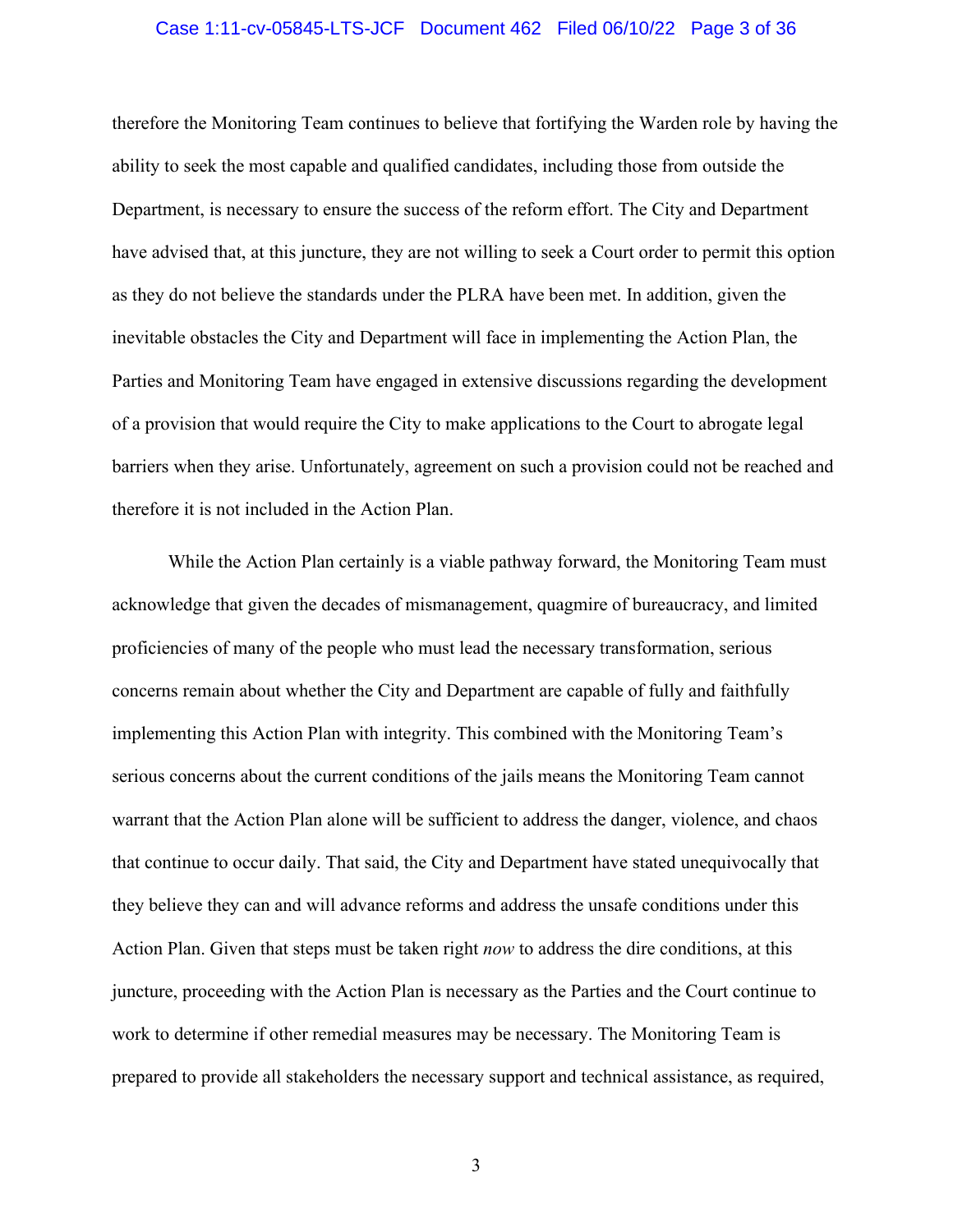#### Case 1:11-cv-05845-LTS-JCF Document 462 Filed 06/10/22 Page 3 of 36

therefore the Monitoring Team continues to believe that fortifying the Warden role by having the ability to seek the most capable and qualified candidates, including those from outside the Department, is necessary to ensure the success of the reform effort. The City and Department have advised that, at this juncture, they are not willing to seek a Court order to permit this option as they do not believe the standards under the PLRA have been met. In addition, given the inevitable obstacles the City and Department will face in implementing the Action Plan, the Parties and Monitoring Team have engaged in extensive discussions regarding the development of a provision that would require the City to make applications to the Court to abrogate legal barriers when they arise. Unfortunately, agreement on such a provision could not be reached and therefore it is not included in the Action Plan.

While the Action Plan certainly is a viable pathway forward, the Monitoring Team must acknowledge that given the decades of mismanagement, quagmire of bureaucracy, and limited proficiencies of many of the people who must lead the necessary transformation, serious concerns remain about whether the City and Department are capable of fully and faithfully implementing this Action Plan with integrity. This combined with the Monitoring Team's serious concerns about the current conditions of the jails means the Monitoring Team cannot warrant that the Action Plan alone will be sufficient to address the danger, violence, and chaos that continue to occur daily. That said, the City and Department have stated unequivocally that they believe they can and will advance reforms and address the unsafe conditions under this Action Plan. Given that steps must be taken right *now* to address the dire conditions, at this juncture, proceeding with the Action Plan is necessary as the Parties and the Court continue to work to determine if other remedial measures may be necessary. The Monitoring Team is prepared to provide all stakeholders the necessary support and technical assistance, as required,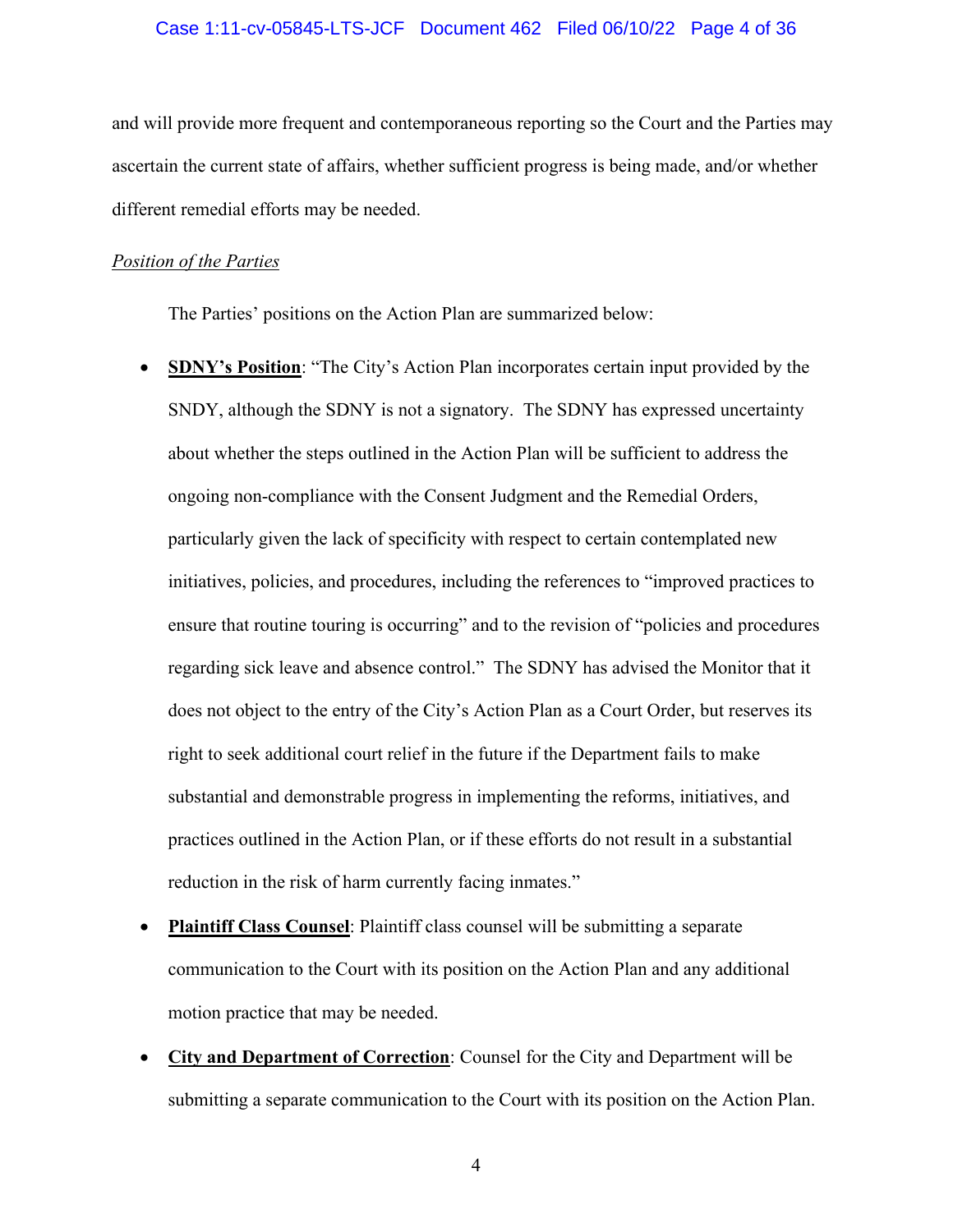#### Case 1:11-cv-05845-LTS-JCF Document 462 Filed 06/10/22 Page 4 of 36

and will provide more frequent and contemporaneous reporting so the Court and the Parties may ascertain the current state of affairs, whether sufficient progress is being made, and/or whether different remedial efforts may be needed.

#### *Position of the Parties*

The Parties' positions on the Action Plan are summarized below:

- **SDNY's Position**: "The City's Action Plan incorporates certain input provided by the SNDY, although the SDNY is not a signatory. The SDNY has expressed uncertainty about whether the steps outlined in the Action Plan will be sufficient to address the ongoing non-compliance with the Consent Judgment and the Remedial Orders, particularly given the lack of specificity with respect to certain contemplated new initiatives, policies, and procedures, including the references to "improved practices to ensure that routine touring is occurring" and to the revision of "policies and procedures regarding sick leave and absence control." The SDNY has advised the Monitor that it does not object to the entry of the City's Action Plan as a Court Order, but reserves its right to seek additional court relief in the future if the Department fails to make substantial and demonstrable progress in implementing the reforms, initiatives, and practices outlined in the Action Plan, or if these efforts do not result in a substantial reduction in the risk of harm currently facing inmates."
- **Plaintiff Class Counsel**: Plaintiff class counsel will be submitting a separate communication to the Court with its position on the Action Plan and any additional motion practice that may be needed.
- **City and Department of Correction**: Counsel for the City and Department will be submitting a separate communication to the Court with its position on the Action Plan.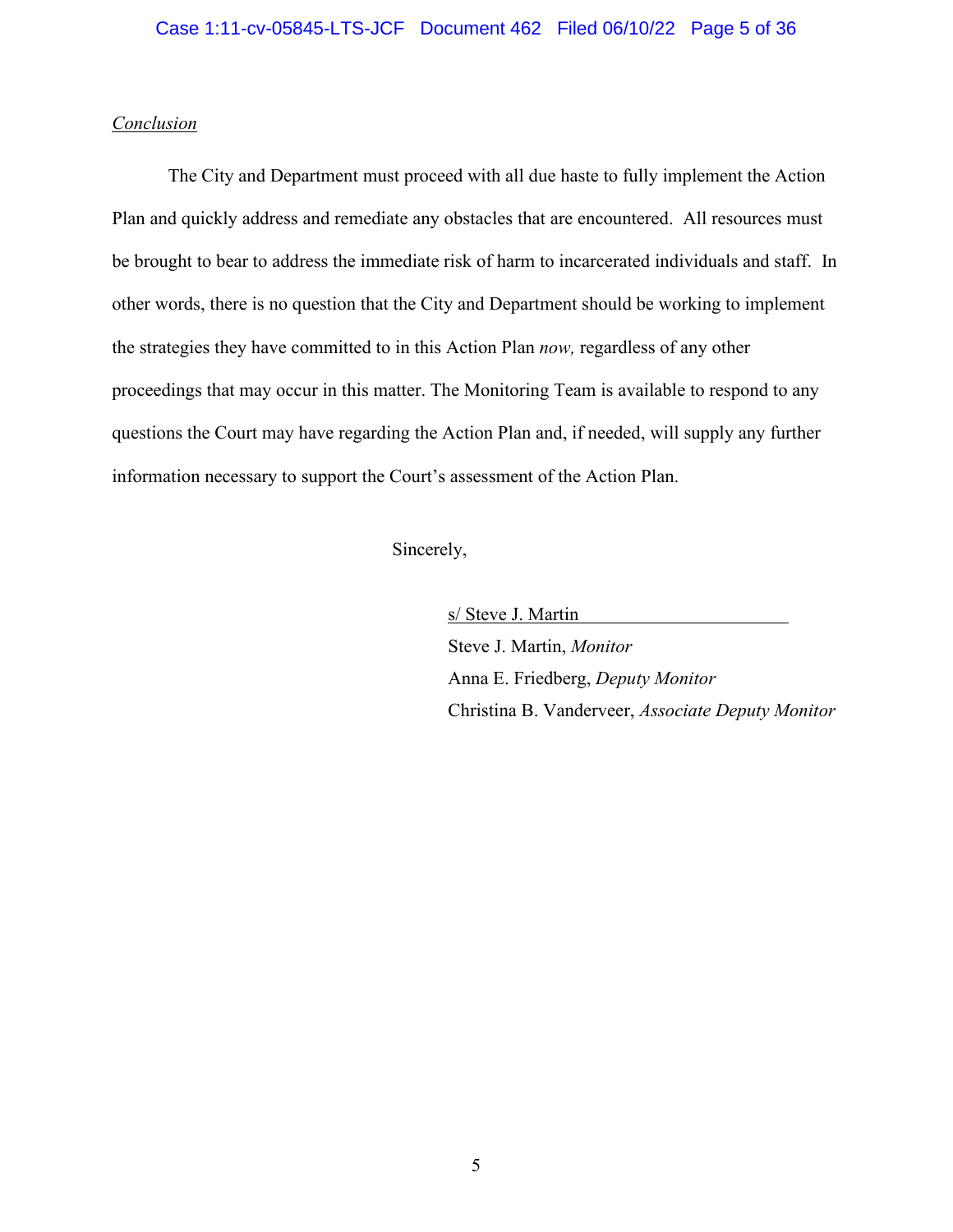## Case 1:11-cv-05845-LTS-JCF Document 462 Filed 06/10/22 Page 5 of 36

## *Conclusion*

The City and Department must proceed with all due haste to fully implement the Action Plan and quickly address and remediate any obstacles that are encountered. All resources must be brought to bear to address the immediate risk of harm to incarcerated individuals and staff. In other words, there is no question that the City and Department should be working to implement the strategies they have committed to in this Action Plan *now,* regardless of any other proceedings that may occur in this matter. The Monitoring Team is available to respond to any questions the Court may have regarding the Action Plan and, if needed, will supply any further information necessary to support the Court's assessment of the Action Plan.

Sincerely,

s/ Steve J. Martin Steve J. Martin, *Monitor* Anna E. Friedberg, *Deputy Monitor* Christina B. Vanderveer, *Associate Deputy Monitor*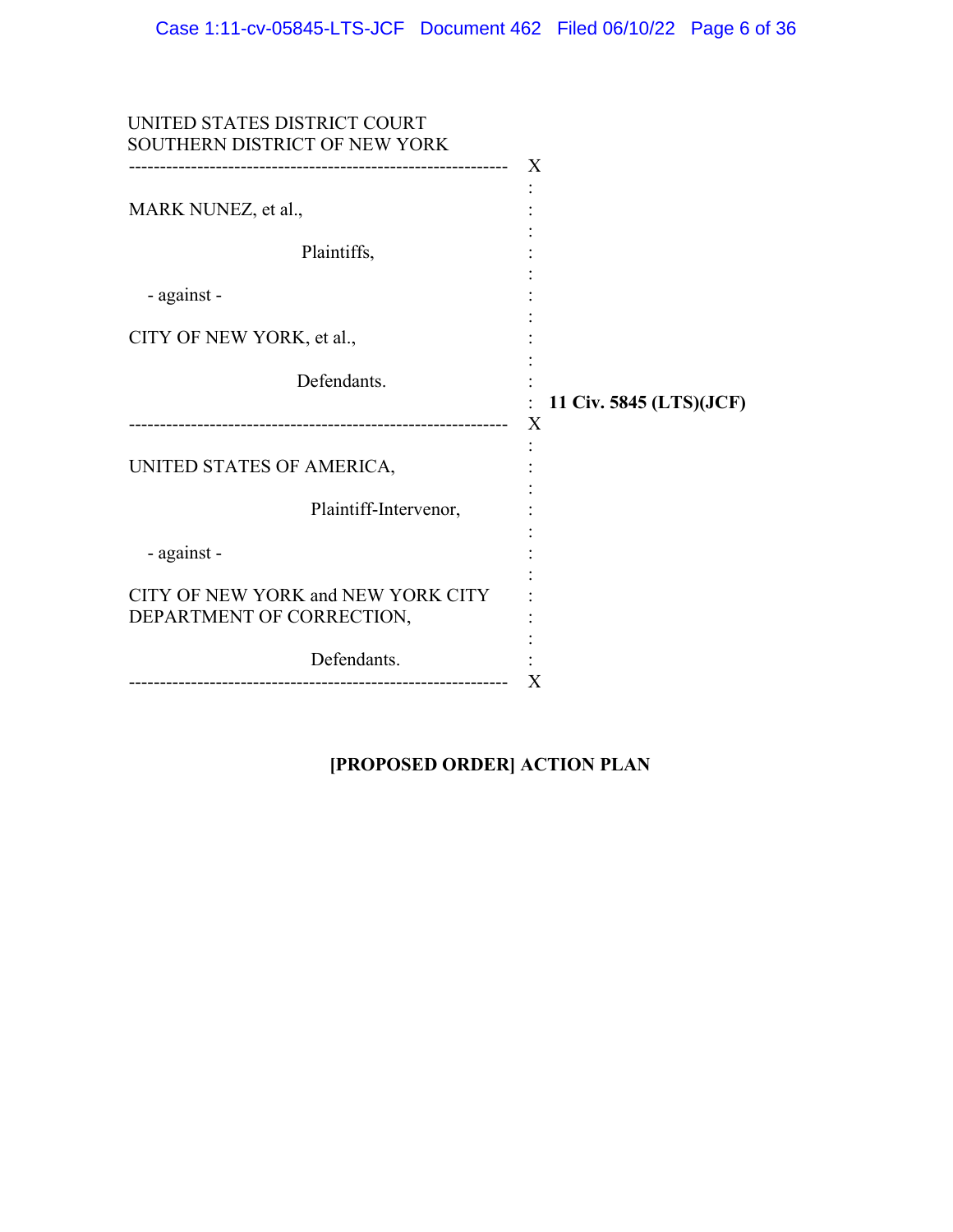| UNITED STATES DISTRICT COURT<br>SOUTHERN DISTRICT OF NEW YORK             | X                       |
|---------------------------------------------------------------------------|-------------------------|
| MARK NUNEZ, et al.,                                                       |                         |
| Plaintiffs,                                                               |                         |
| - against -                                                               |                         |
| CITY OF NEW YORK, et al.,                                                 |                         |
| Defendants.                                                               | 11 Civ. 5845 (LTS)(JCF) |
| UNITED STATES OF AMERICA,                                                 | X                       |
| Plaintiff-Intervenor,                                                     |                         |
| - against -                                                               |                         |
| CITY OF NEW YORK and NEW YORK CITY<br>DEPARTMENT OF CORRECTION,           |                         |
| Defendants.<br>-----------------------<br>------------------------------- | Χ                       |

# **[PROPOSED ORDER] ACTION PLAN**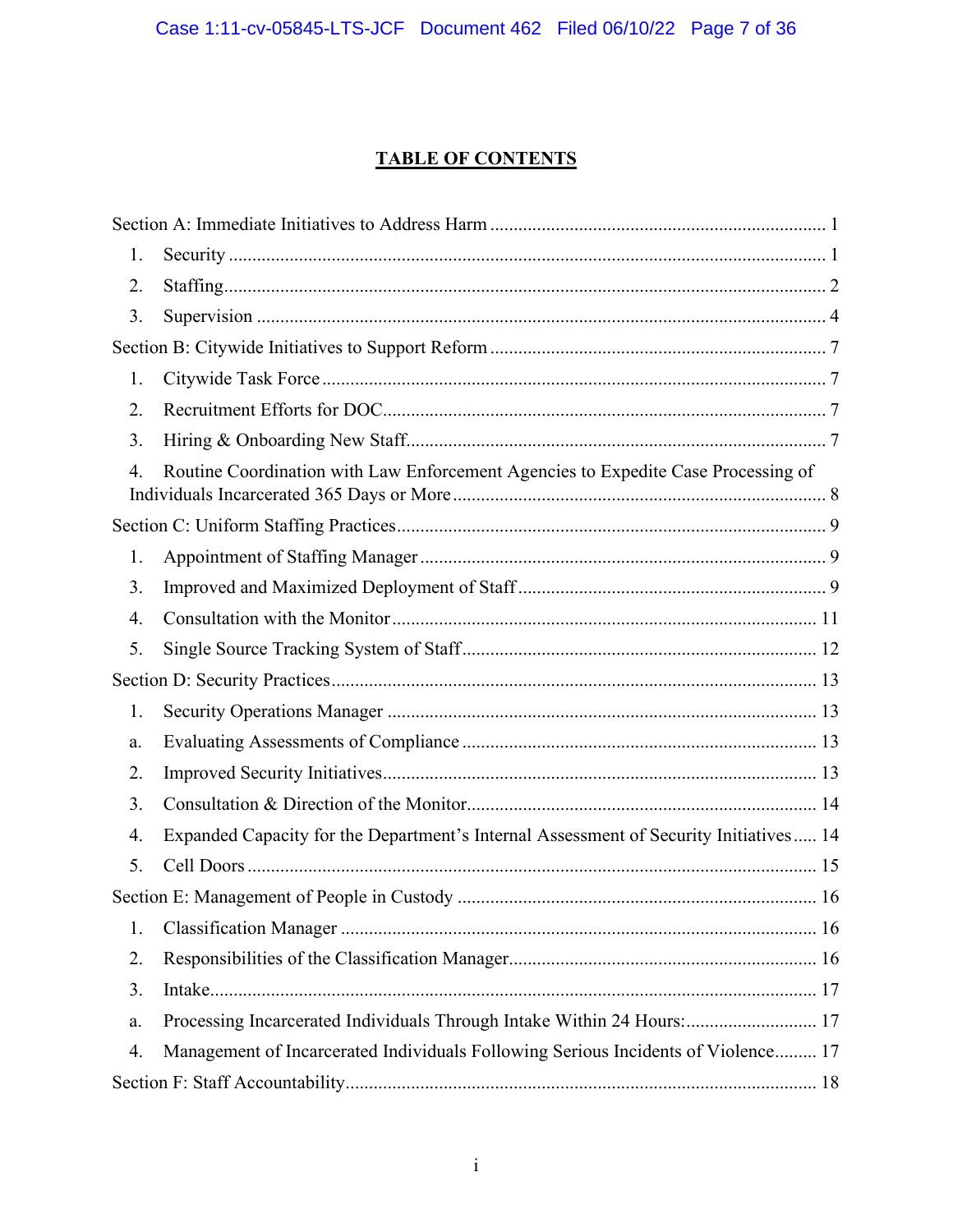# **TABLE OF CONTENTS**

| 1. |                                                                                       |
|----|---------------------------------------------------------------------------------------|
| 2. |                                                                                       |
| 3. |                                                                                       |
|    |                                                                                       |
| 1. |                                                                                       |
| 2. |                                                                                       |
| 3. |                                                                                       |
| 4. | Routine Coordination with Law Enforcement Agencies to Expedite Case Processing of     |
|    |                                                                                       |
| 1. |                                                                                       |
| 3. |                                                                                       |
| 4. |                                                                                       |
| 5. |                                                                                       |
|    |                                                                                       |
| 1. |                                                                                       |
| a. |                                                                                       |
| 2. |                                                                                       |
| 3. |                                                                                       |
| 4. | Expanded Capacity for the Department's Internal Assessment of Security Initiatives 14 |
| 5. |                                                                                       |
|    |                                                                                       |
| 1. |                                                                                       |
| 2. |                                                                                       |
| 3. |                                                                                       |
| a. | Processing Incarcerated Individuals Through Intake Within 24 Hours:  17               |
| 4. | Management of Incarcerated Individuals Following Serious Incidents of Violence 17     |
|    |                                                                                       |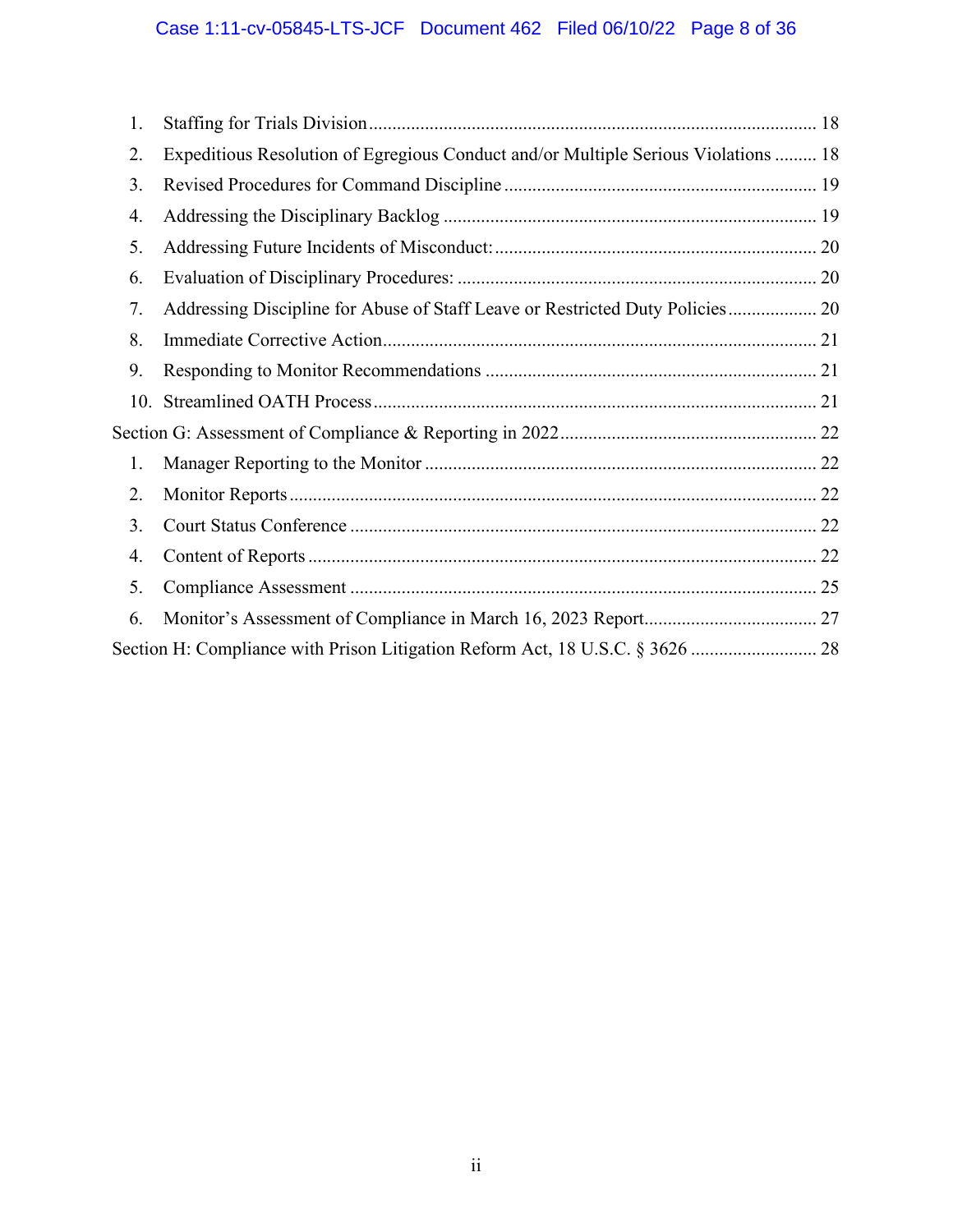| 1. |                                                                                    |  |
|----|------------------------------------------------------------------------------------|--|
| 2. | Expeditious Resolution of Egregious Conduct and/or Multiple Serious Violations  18 |  |
| 3. |                                                                                    |  |
| 4. |                                                                                    |  |
| 5. |                                                                                    |  |
| 6. |                                                                                    |  |
| 7. | Addressing Discipline for Abuse of Staff Leave or Restricted Duty Policies 20      |  |
| 8. |                                                                                    |  |
| 9. |                                                                                    |  |
|    |                                                                                    |  |
|    |                                                                                    |  |
| 1. |                                                                                    |  |
| 2. |                                                                                    |  |
| 3. |                                                                                    |  |
| 4. |                                                                                    |  |
| 5. |                                                                                    |  |
| 6. |                                                                                    |  |
|    | Section H: Compliance with Prison Litigation Reform Act, 18 U.S.C. § 3626  28      |  |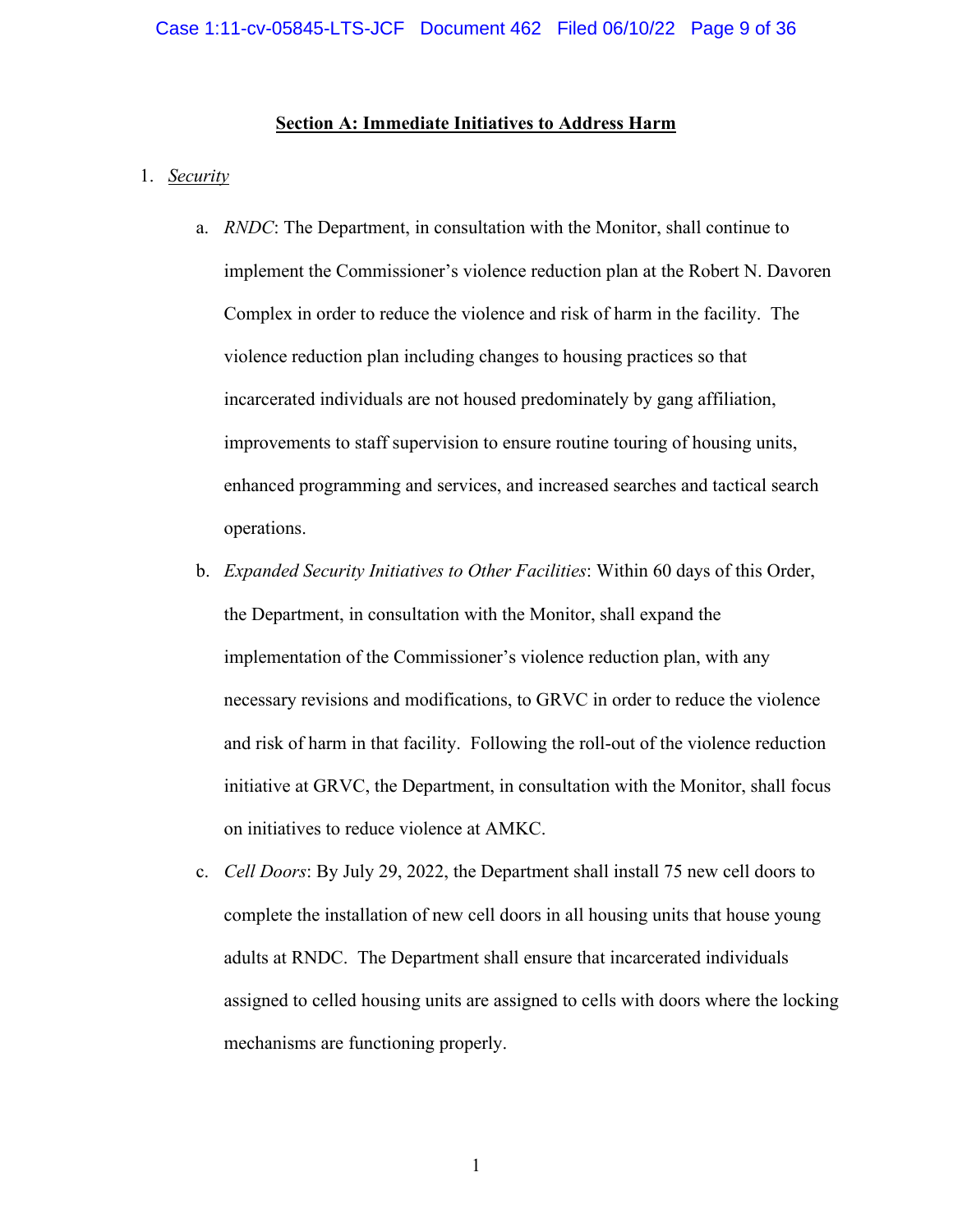## **Section A: Immediate Initiatives to Address Harm**

#### <span id="page-8-1"></span><span id="page-8-0"></span>1. *Security*

- a. *RNDC*: The Department, in consultation with the Monitor, shall continue to implement the Commissioner's violence reduction plan at the Robert N. Davoren Complex in order to reduce the violence and risk of harm in the facility. The violence reduction plan including changes to housing practices so that incarcerated individuals are not housed predominately by gang affiliation, improvements to staff supervision to ensure routine touring of housing units, enhanced programming and services, and increased searches and tactical search operations.
- b. *Expanded Security Initiatives to Other Facilities*: Within 60 days of this Order, the Department, in consultation with the Monitor, shall expand the implementation of the Commissioner's violence reduction plan, with any necessary revisions and modifications, to GRVC in order to reduce the violence and risk of harm in that facility. Following the roll-out of the violence reduction initiative at GRVC, the Department, in consultation with the Monitor, shall focus on initiatives to reduce violence at AMKC.
- c. *Cell Doors*: By July 29, 2022, the Department shall install 75 new cell doors to complete the installation of new cell doors in all housing units that house young adults at RNDC. The Department shall ensure that incarcerated individuals assigned to celled housing units are assigned to cells with doors where the locking mechanisms are functioning properly.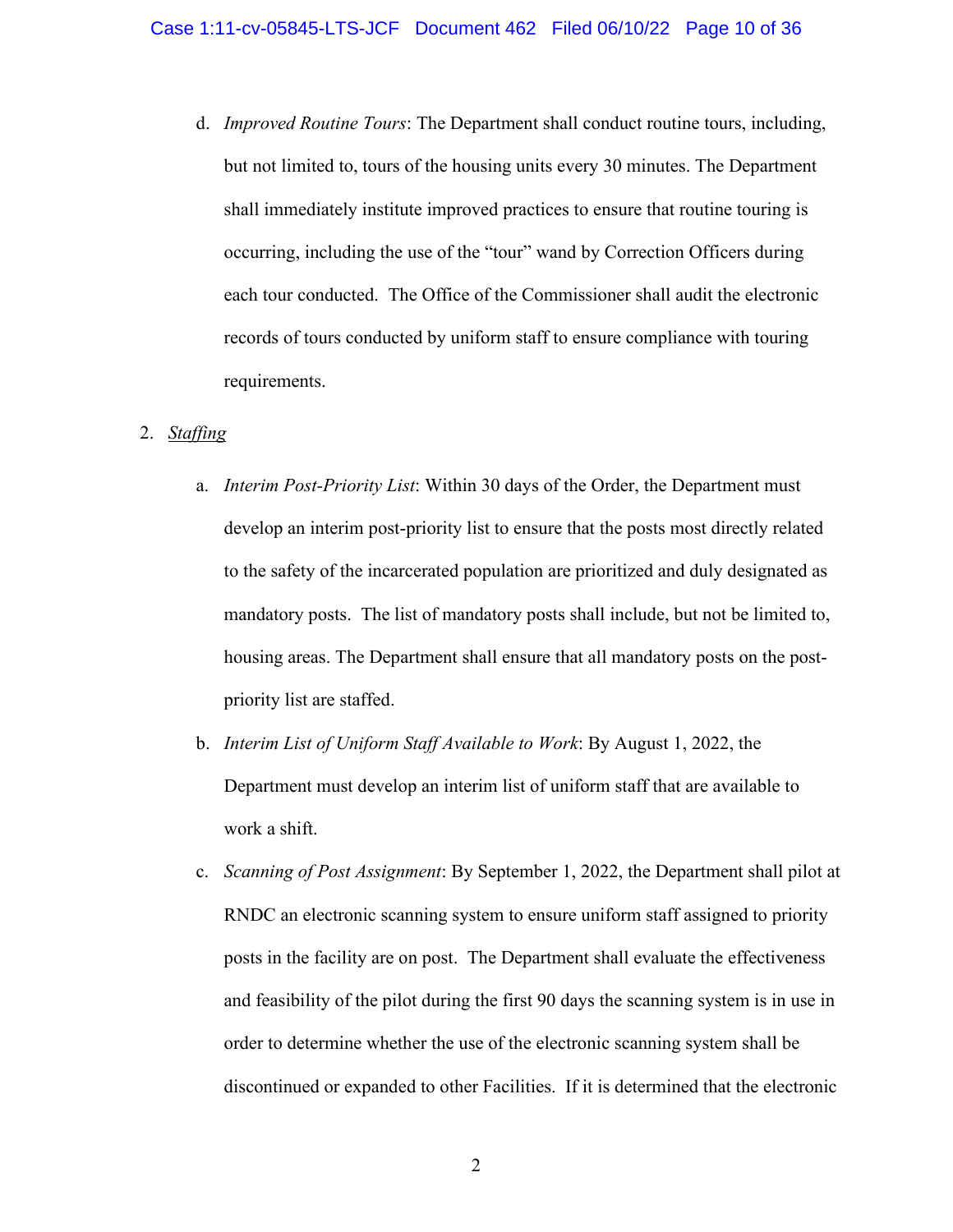d. *Improved Routine Tours*: The Department shall conduct routine tours, including, but not limited to, tours of the housing units every 30 minutes. The Department shall immediately institute improved practices to ensure that routine touring is occurring, including the use of the "tour" wand by Correction Officers during each tour conducted. The Office of the Commissioner shall audit the electronic records of tours conducted by uniform staff to ensure compliance with touring requirements.

## <span id="page-9-0"></span>2. *Staffing*

- a. *Interim Post-Priority List*: Within 30 days of the Order, the Department must develop an interim post-priority list to ensure that the posts most directly related to the safety of the incarcerated population are prioritized and duly designated as mandatory posts. The list of mandatory posts shall include, but not be limited to, housing areas. The Department shall ensure that all mandatory posts on the postpriority list are staffed.
- b. *Interim List of Uniform Staff Available to Work*: By August 1, 2022, the Department must develop an interim list of uniform staff that are available to work a shift.
- c. *Scanning of Post Assignment*: By September 1, 2022, the Department shall pilot at RNDC an electronic scanning system to ensure uniform staff assigned to priority posts in the facility are on post. The Department shall evaluate the effectiveness and feasibility of the pilot during the first 90 days the scanning system is in use in order to determine whether the use of the electronic scanning system shall be discontinued or expanded to other Facilities. If it is determined that the electronic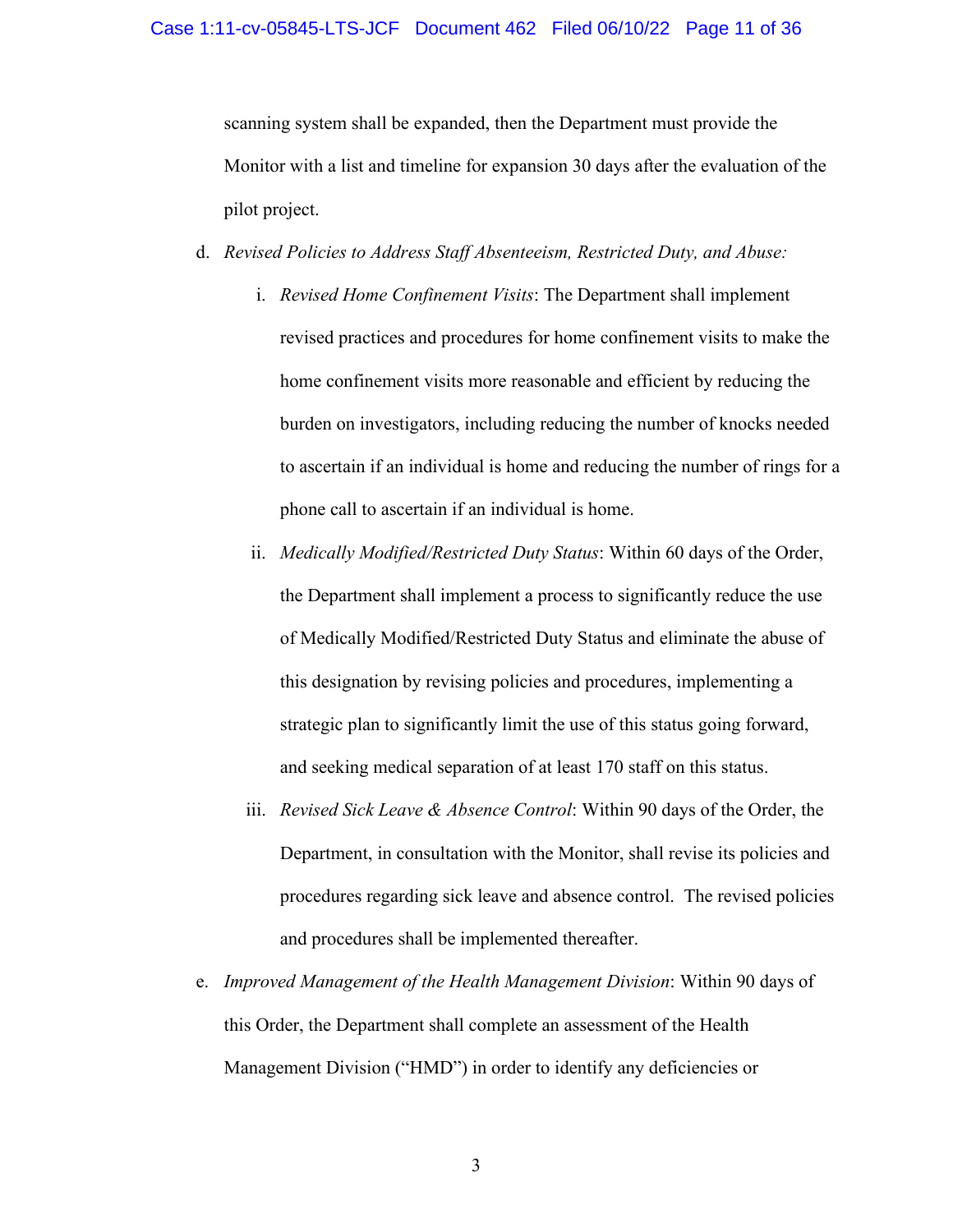#### Case 1:11-cv-05845-LTS-JCF Document 462 Filed 06/10/22 Page 11 of 36

scanning system shall be expanded, then the Department must provide the Monitor with a list and timeline for expansion 30 days after the evaluation of the pilot project.

## d. *Revised Policies to Address Staff Absenteeism, Restricted Duty, and Abuse:*

- i. *Revised Home Confinement Visits*: The Department shall implement revised practices and procedures for home confinement visits to make the home confinement visits more reasonable and efficient by reducing the burden on investigators, including reducing the number of knocks needed to ascertain if an individual is home and reducing the number of rings for a phone call to ascertain if an individual is home.
- ii. *Medically Modified/Restricted Duty Status*: Within 60 days of the Order, the Department shall implement a process to significantly reduce the use of Medically Modified/Restricted Duty Status and eliminate the abuse of this designation by revising policies and procedures, implementing a strategic plan to significantly limit the use of this status going forward, and seeking medical separation of at least 170 staff on this status.
- iii. *Revised Sick Leave & Absence Control*: Within 90 days of the Order, the Department, in consultation with the Monitor, shall revise its policies and procedures regarding sick leave and absence control. The revised policies and procedures shall be implemented thereafter.
- e. *Improved Management of the Health Management Division*: Within 90 days of this Order, the Department shall complete an assessment of the Health Management Division ("HMD") in order to identify any deficiencies or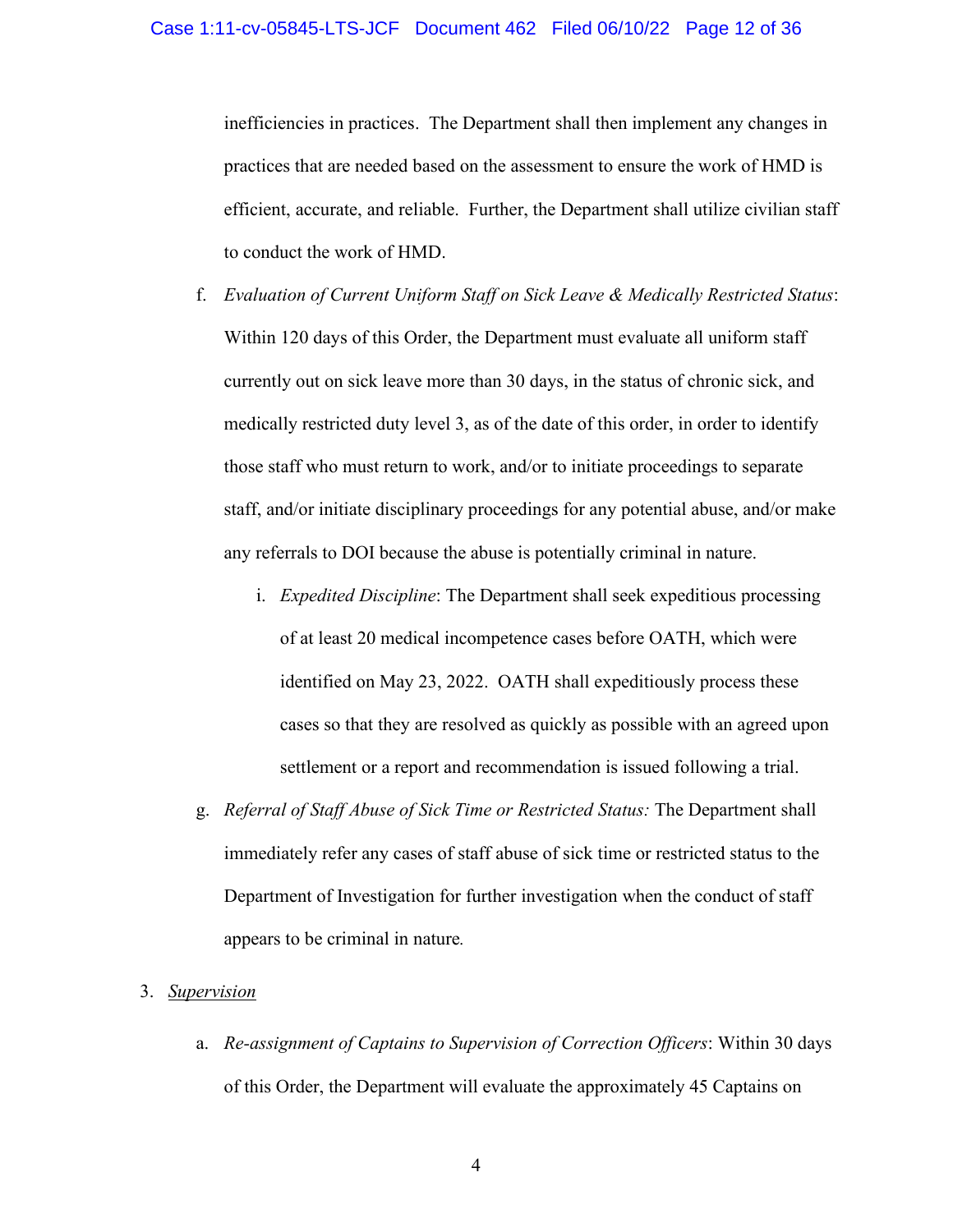inefficiencies in practices. The Department shall then implement any changes in practices that are needed based on the assessment to ensure the work of HMD is efficient, accurate, and reliable. Further, the Department shall utilize civilian staff to conduct the work of HMD.

- f. *Evaluation of Current Uniform Staff on Sick Leave & Medically Restricted Status*: Within 120 days of this Order, the Department must evaluate all uniform staff currently out on sick leave more than 30 days, in the status of chronic sick, and medically restricted duty level 3, as of the date of this order, in order to identify those staff who must return to work, and/or to initiate proceedings to separate staff, and/or initiate disciplinary proceedings for any potential abuse, and/or make any referrals to DOI because the abuse is potentially criminal in nature.
	- i. *Expedited Discipline*: The Department shall seek expeditious processing of at least 20 medical incompetence cases before OATH, which were identified on May 23, 2022. OATH shall expeditiously process these cases so that they are resolved as quickly as possible with an agreed upon settlement or a report and recommendation is issued following a trial.
- g. *Referral of Staff Abuse of Sick Time or Restricted Status:* The Department shall immediately refer any cases of staff abuse of sick time or restricted status to the Department of Investigation for further investigation when the conduct of staff appears to be criminal in nature*.*

## <span id="page-11-0"></span>3. *Supervision*

a. *Re-assignment of Captains to Supervision of Correction Officers*: Within 30 days of this Order, the Department will evaluate the approximately 45 Captains on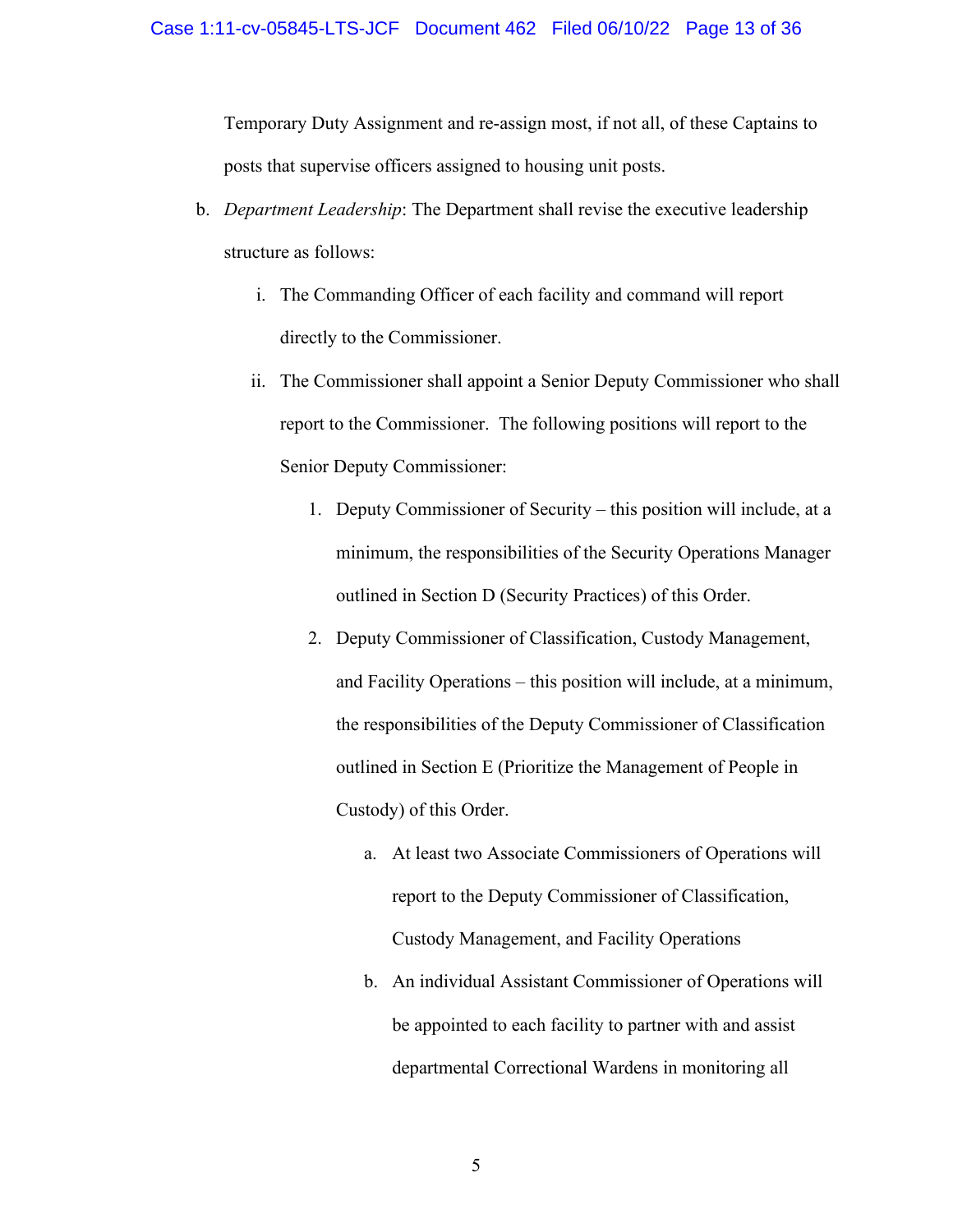Temporary Duty Assignment and re-assign most, if not all, of these Captains to posts that supervise officers assigned to housing unit posts.

- b. *Department Leadership*: The Department shall revise the executive leadership structure as follows:
	- i. The Commanding Officer of each facility and command will report directly to the Commissioner.
	- ii. The Commissioner shall appoint a Senior Deputy Commissioner who shall report to the Commissioner. The following positions will report to the Senior Deputy Commissioner:
		- 1. Deputy Commissioner of Security this position will include, at a minimum, the responsibilities of the Security Operations Manager outlined in Section D (Security Practices) of this Order.
		- 2. Deputy Commissioner of Classification, Custody Management, and Facility Operations – this position will include, at a minimum, the responsibilities of the Deputy Commissioner of Classification outlined in Section E (Prioritize the Management of People in Custody) of this Order.
			- a. At least two Associate Commissioners of Operations will report to the Deputy Commissioner of Classification, Custody Management, and Facility Operations
			- b. An individual Assistant Commissioner of Operations will be appointed to each facility to partner with and assist departmental Correctional Wardens in monitoring all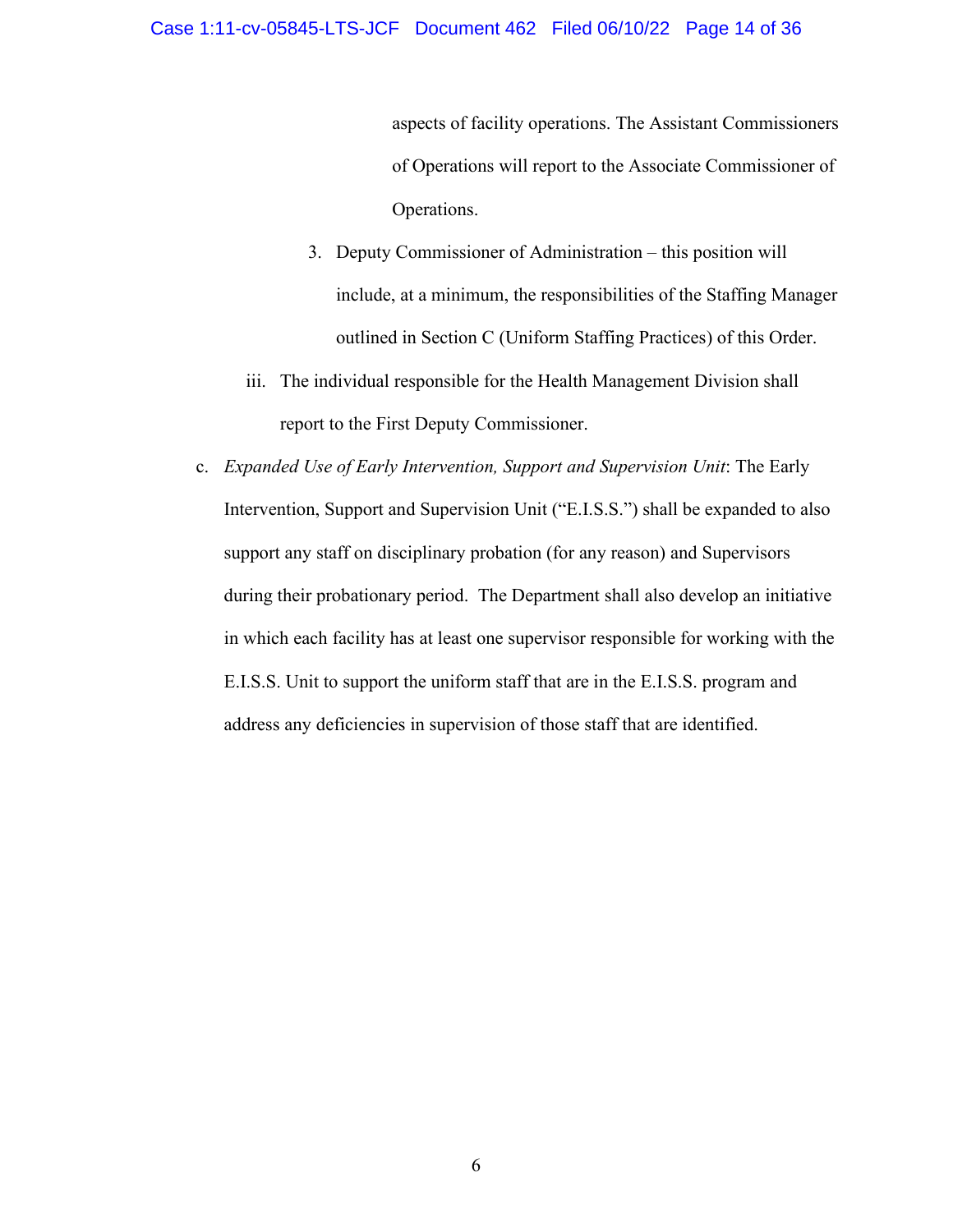#### Case 1:11-cv-05845-LTS-JCF Document 462 Filed 06/10/22 Page 14 of 36

aspects of facility operations. The Assistant Commissioners of Operations will report to the Associate Commissioner of Operations.

- 3. Deputy Commissioner of Administration this position will include, at a minimum, the responsibilities of the Staffing Manager outlined in Section C (Uniform Staffing Practices) of this Order.
- iii. The individual responsible for the Health Management Division shall report to the First Deputy Commissioner.
- c. *Expanded Use of Early Intervention, Support and Supervision Unit*: The Early Intervention, Support and Supervision Unit ("E.I.S.S.") shall be expanded to also support any staff on disciplinary probation (for any reason) and Supervisors during their probationary period. The Department shall also develop an initiative in which each facility has at least one supervisor responsible for working with the E.I.S.S. Unit to support the uniform staff that are in the E.I.S.S. program and address any deficiencies in supervision of those staff that are identified.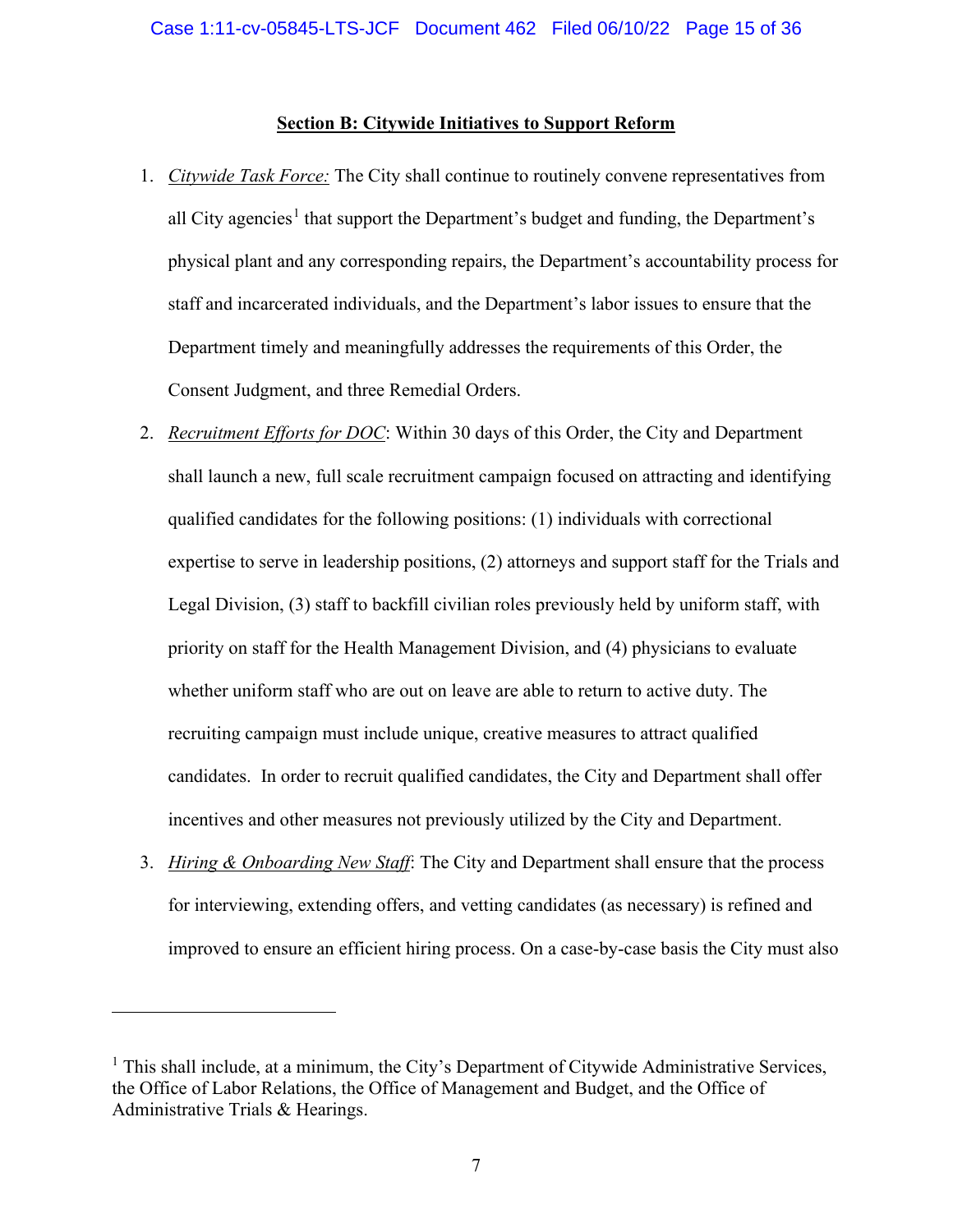## **Section B: Citywide Initiatives to Support Reform**

- <span id="page-14-1"></span><span id="page-14-0"></span>1. *Citywide Task Force:* The City shall continue to routinely convene representatives from all City agencies<sup>[1](#page-14-4)</sup> that support the Department's budget and funding, the Department's physical plant and any corresponding repairs, the Department's accountability process for staff and incarcerated individuals, and the Department's labor issues to ensure that the Department timely and meaningfully addresses the requirements of this Order, the Consent Judgment, and three Remedial Orders.
- <span id="page-14-2"></span>2. *Recruitment Efforts for DOC*: Within 30 days of this Order, the City and Department shall launch a new, full scale recruitment campaign focused on attracting and identifying qualified candidates for the following positions: (1) individuals with correctional expertise to serve in leadership positions, (2) attorneys and support staff for the Trials and Legal Division, (3) staff to backfill civilian roles previously held by uniform staff, with priority on staff for the Health Management Division, and (4) physicians to evaluate whether uniform staff who are out on leave are able to return to active duty. The recruiting campaign must include unique, creative measures to attract qualified candidates. In order to recruit qualified candidates, the City and Department shall offer incentives and other measures not previously utilized by the City and Department.
- <span id="page-14-3"></span>3. *Hiring & Onboarding New Staff*: The City and Department shall ensure that the process for interviewing, extending offers, and vetting candidates (as necessary) is refined and improved to ensure an efficient hiring process. On a case-by-case basis the City must also

<span id="page-14-4"></span><sup>&</sup>lt;sup>1</sup> This shall include, at a minimum, the City's Department of Citywide Administrative Services, the Office of Labor Relations, the Office of Management and Budget, and the Office of Administrative Trials & Hearings.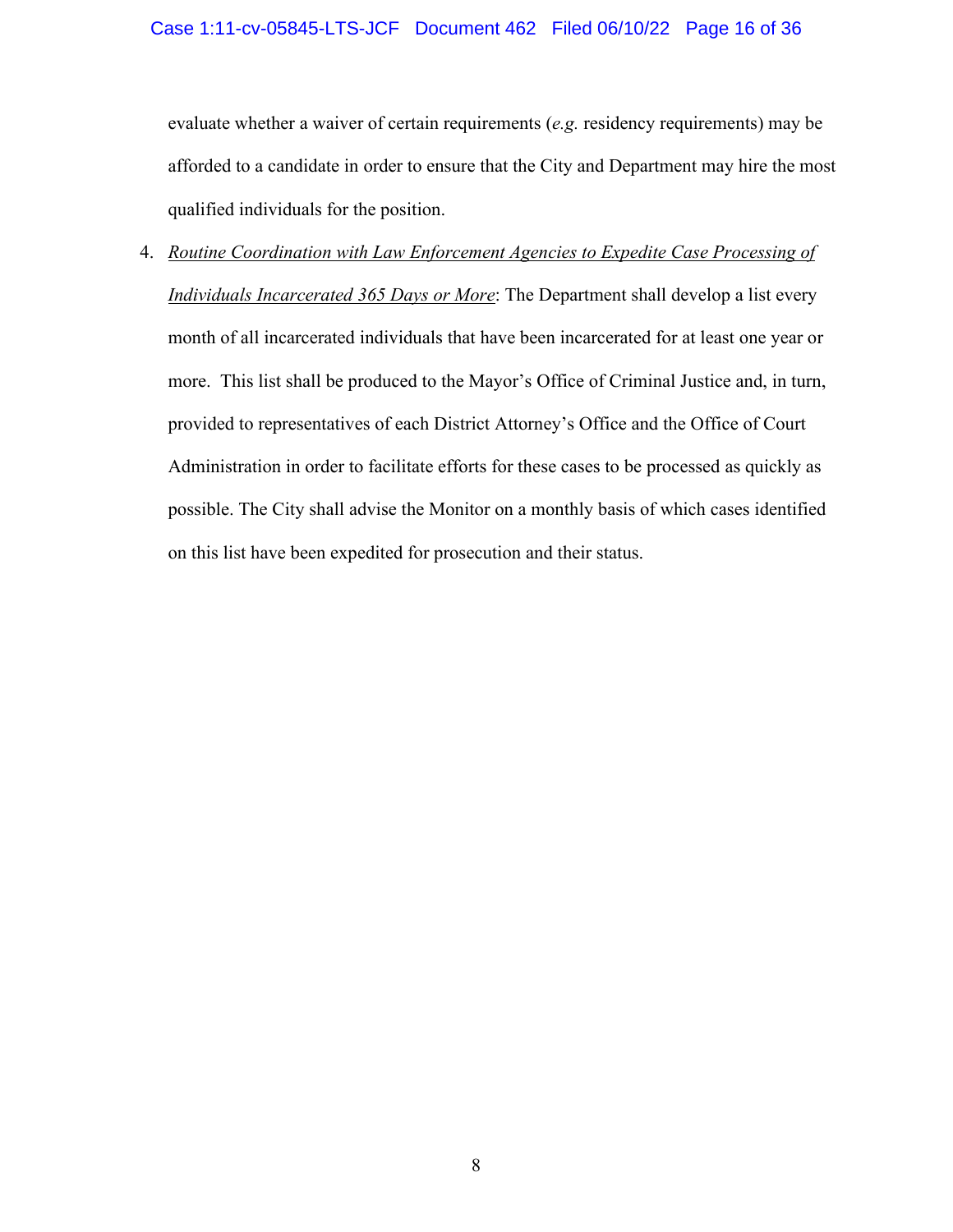evaluate whether a waiver of certain requirements (*e.g.* residency requirements) may be afforded to a candidate in order to ensure that the City and Department may hire the most qualified individuals for the position.

<span id="page-15-0"></span>4. *Routine Coordination with Law Enforcement Agencies to Expedite Case Processing of Individuals Incarcerated 365 Days or More*: The Department shall develop a list every month of all incarcerated individuals that have been incarcerated for at least one year or more. This list shall be produced to the Mayor's Office of Criminal Justice and, in turn, provided to representatives of each District Attorney's Office and the Office of Court Administration in order to facilitate efforts for these cases to be processed as quickly as possible. The City shall advise the Monitor on a monthly basis of which cases identified on this list have been expedited for prosecution and their status.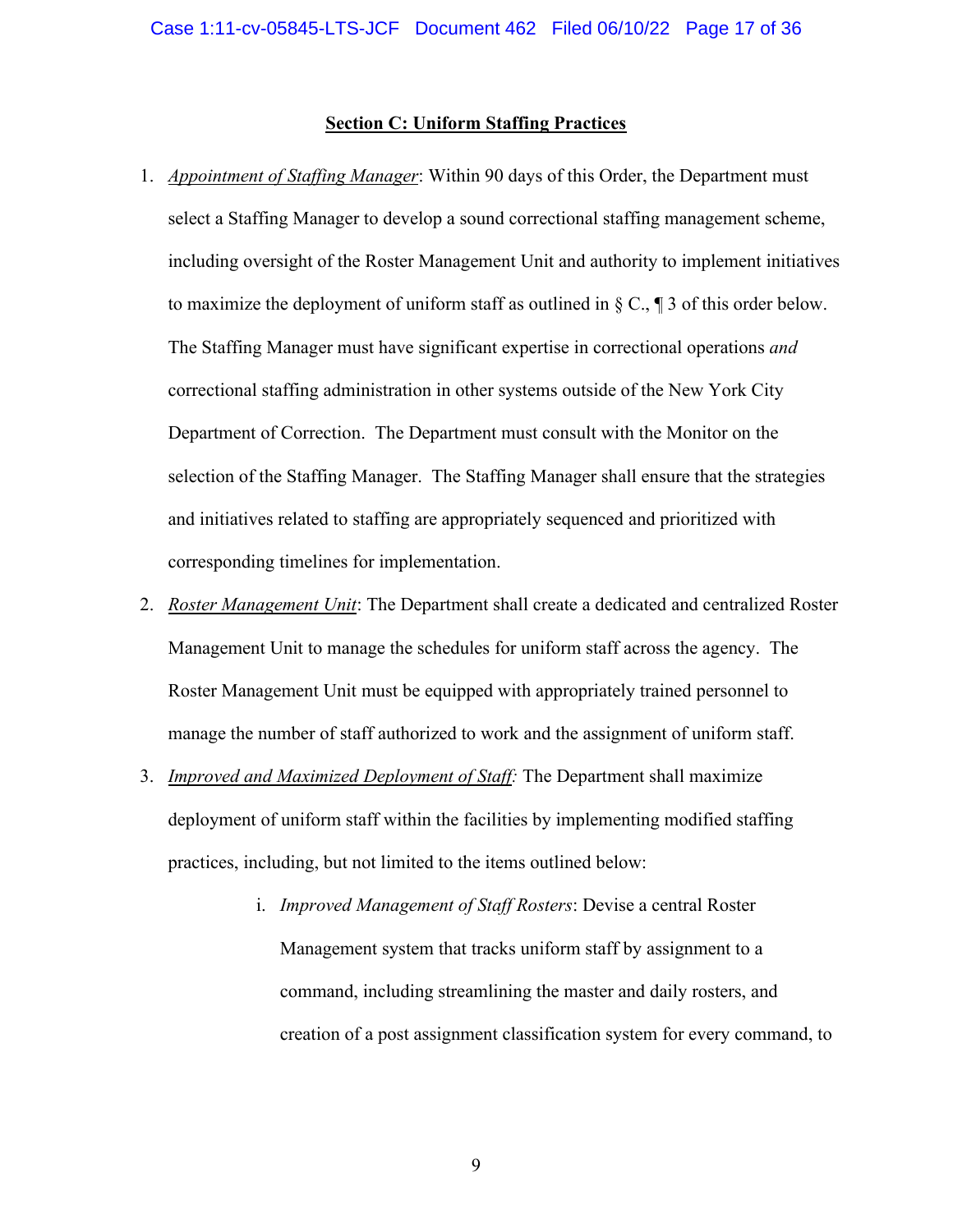#### **Section C: Uniform Staffing Practices**

- <span id="page-16-1"></span><span id="page-16-0"></span>1. *Appointment of Staffing Manager*: Within 90 days of this Order, the Department must select a Staffing Manager to develop a sound correctional staffing management scheme, including oversight of the Roster Management Unit and authority to implement initiatives to maximize the deployment of uniform staff as outlined in  $\S \mathbb{C}$ ,  $\P$  3 of this order below. The Staffing Manager must have significant expertise in correctional operations *and* correctional staffing administration in other systems outside of the New York City Department of Correction. The Department must consult with the Monitor on the selection of the Staffing Manager. The Staffing Manager shall ensure that the strategies and initiatives related to staffing are appropriately sequenced and prioritized with corresponding timelines for implementation.
- 2. *Roster Management Unit*: The Department shall create a dedicated and centralized Roster Management Unit to manage the schedules for uniform staff across the agency. The Roster Management Unit must be equipped with appropriately trained personnel to manage the number of staff authorized to work and the assignment of uniform staff.
- <span id="page-16-2"></span>3. *Improved and Maximized Deployment of Staff:* The Department shall maximize deployment of uniform staff within the facilities by implementing modified staffing practices, including, but not limited to the items outlined below:
	- i. *Improved Management of Staff Rosters*: Devise a central Roster Management system that tracks uniform staff by assignment to a command, including streamlining the master and daily rosters, and creation of a post assignment classification system for every command, to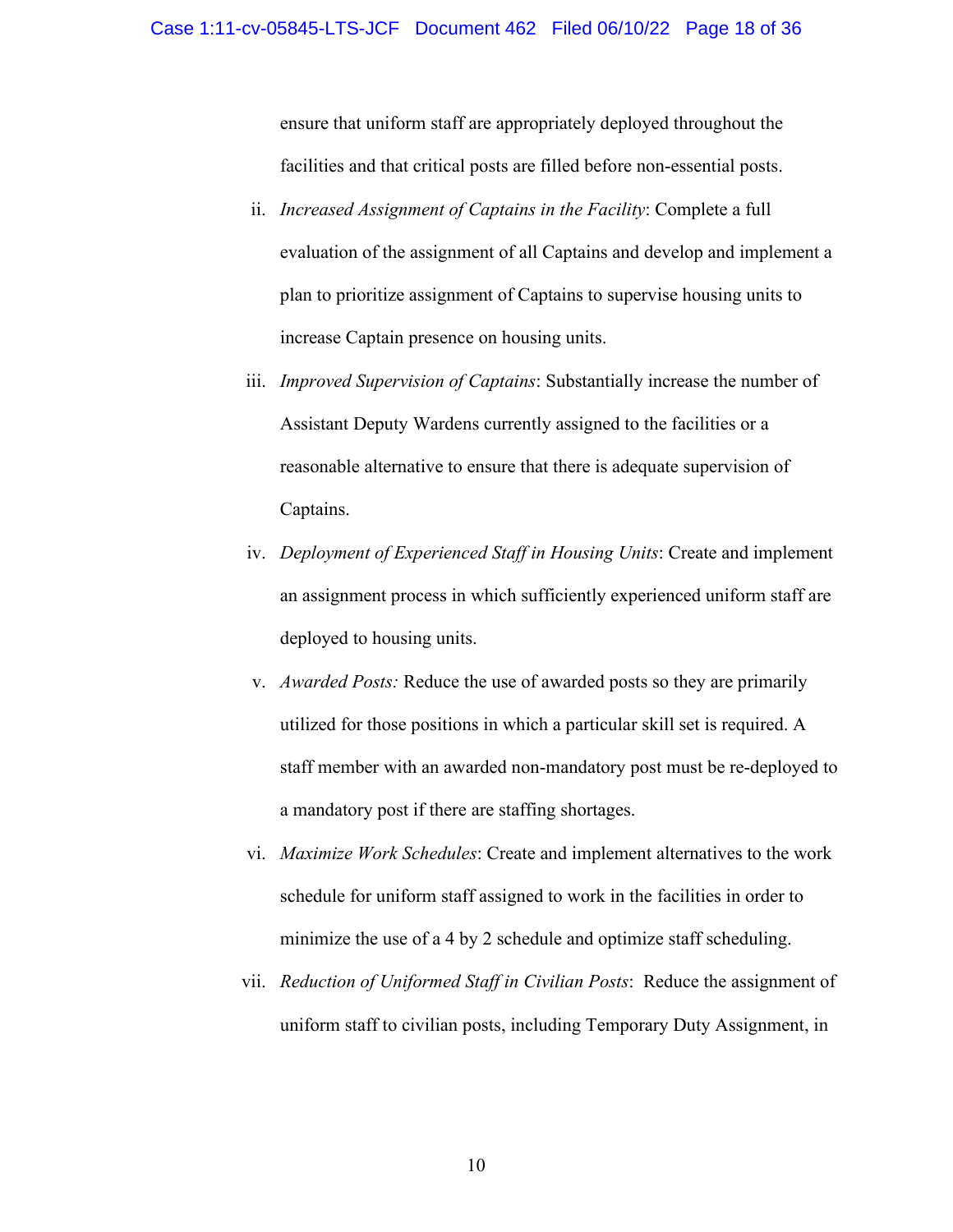#### Case 1:11-cv-05845-LTS-JCF Document 462 Filed 06/10/22 Page 18 of 36

ensure that uniform staff are appropriately deployed throughout the facilities and that critical posts are filled before non-essential posts.

- ii. *Increased Assignment of Captains in the Facility*: Complete a full evaluation of the assignment of all Captains and develop and implement a plan to prioritize assignment of Captains to supervise housing units to increase Captain presence on housing units.
- iii. *Improved Supervision of Captains*: Substantially increase the number of Assistant Deputy Wardens currently assigned to the facilities or a reasonable alternative to ensure that there is adequate supervision of Captains.
- iv. *Deployment of Experienced Staff in Housing Units*: Create and implement an assignment process in which sufficiently experienced uniform staff are deployed to housing units.
- v. *Awarded Posts:* Reduce the use of awarded posts so they are primarily utilized for those positions in which a particular skill set is required. A staff member with an awarded non-mandatory post must be re-deployed to a mandatory post if there are staffing shortages.
- vi. *Maximize Work Schedules*: Create and implement alternatives to the work schedule for uniform staff assigned to work in the facilities in order to minimize the use of a 4 by 2 schedule and optimize staff scheduling.
- vii. *Reduction of Uniformed Staff in Civilian Posts*: Reduce the assignment of uniform staff to civilian posts, including Temporary Duty Assignment, in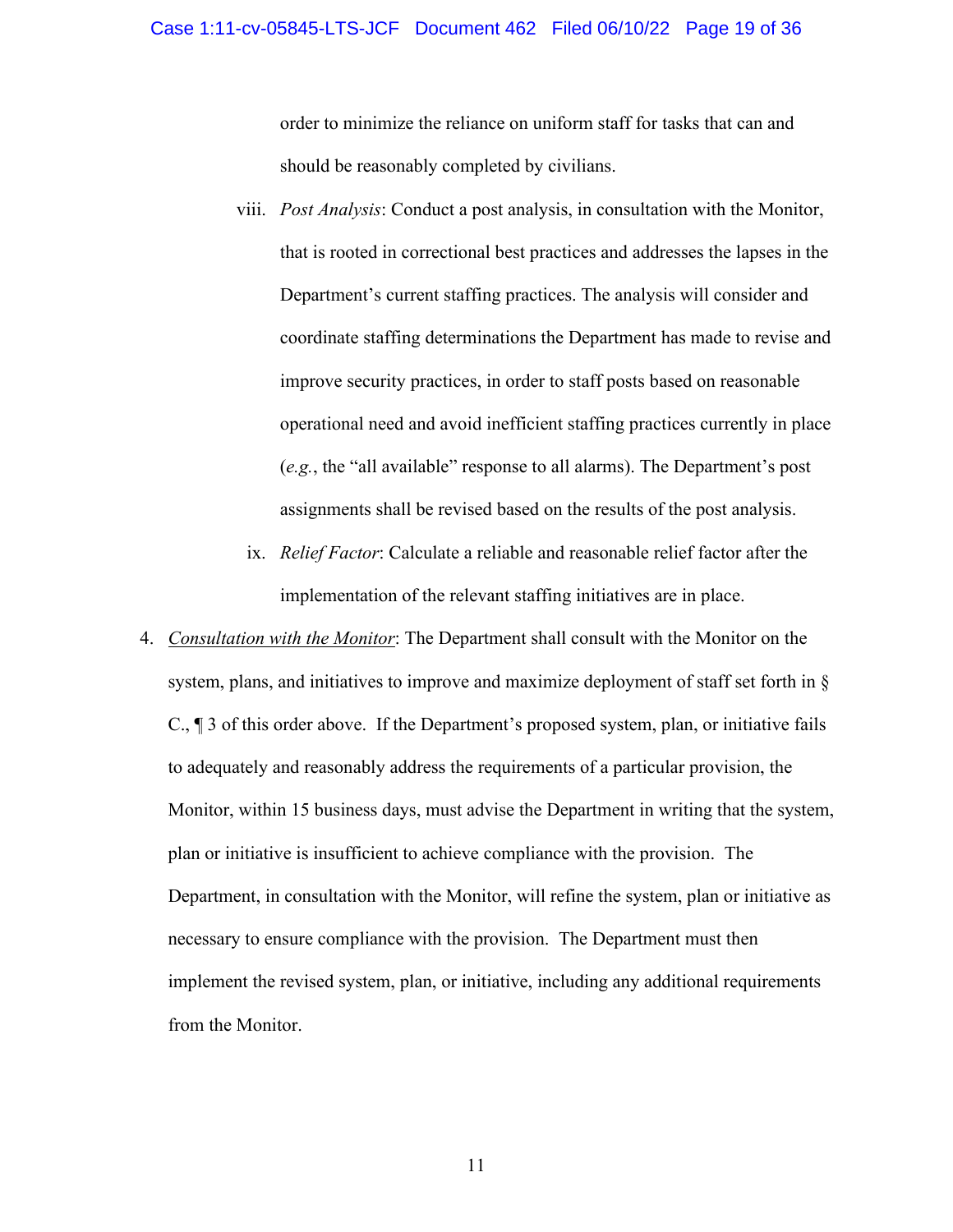order to minimize the reliance on uniform staff for tasks that can and should be reasonably completed by civilians.

- viii. *Post Analysis*: Conduct a post analysis, in consultation with the Monitor, that is rooted in correctional best practices and addresses the lapses in the Department's current staffing practices. The analysis will consider and coordinate staffing determinations the Department has made to revise and improve security practices, in order to staff posts based on reasonable operational need and avoid inefficient staffing practices currently in place (*e.g.*, the "all available" response to all alarms). The Department's post assignments shall be revised based on the results of the post analysis.
	- ix. *Relief Factor*: Calculate a reliable and reasonable relief factor after the implementation of the relevant staffing initiatives are in place.
- <span id="page-18-0"></span>4. *Consultation with the Monitor*: The Department shall consult with the Monitor on the system, plans, and initiatives to improve and maximize deployment of staff set forth in § C., ¶ 3 of this order above. If the Department's proposed system, plan, or initiative fails to adequately and reasonably address the requirements of a particular provision, the Monitor, within 15 business days, must advise the Department in writing that the system, plan or initiative is insufficient to achieve compliance with the provision. The Department, in consultation with the Monitor, will refine the system, plan or initiative as necessary to ensure compliance with the provision. The Department must then implement the revised system, plan, or initiative, including any additional requirements from the Monitor.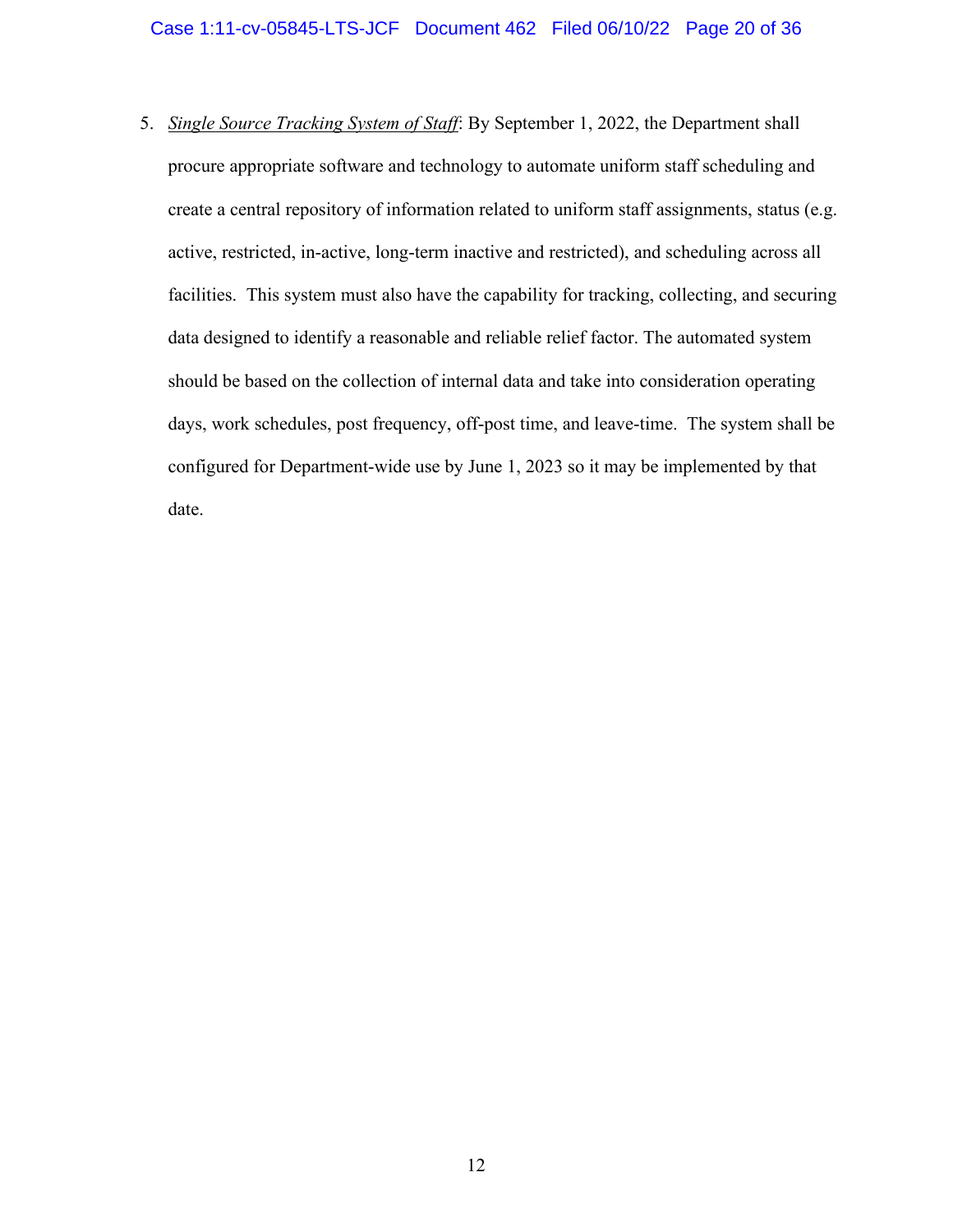<span id="page-19-0"></span>5. *Single Source Tracking System of Staff*: By September 1, 2022, the Department shall procure appropriate software and technology to automate uniform staff scheduling and create a central repository of information related to uniform staff assignments, status (e.g. active, restricted, in-active, long-term inactive and restricted), and scheduling across all facilities. This system must also have the capability for tracking, collecting, and securing data designed to identify a reasonable and reliable relief factor. The automated system should be based on the collection of internal data and take into consideration operating days, work schedules, post frequency, off-post time, and leave-time. The system shall be configured for Department-wide use by June 1, 2023 so it may be implemented by that date.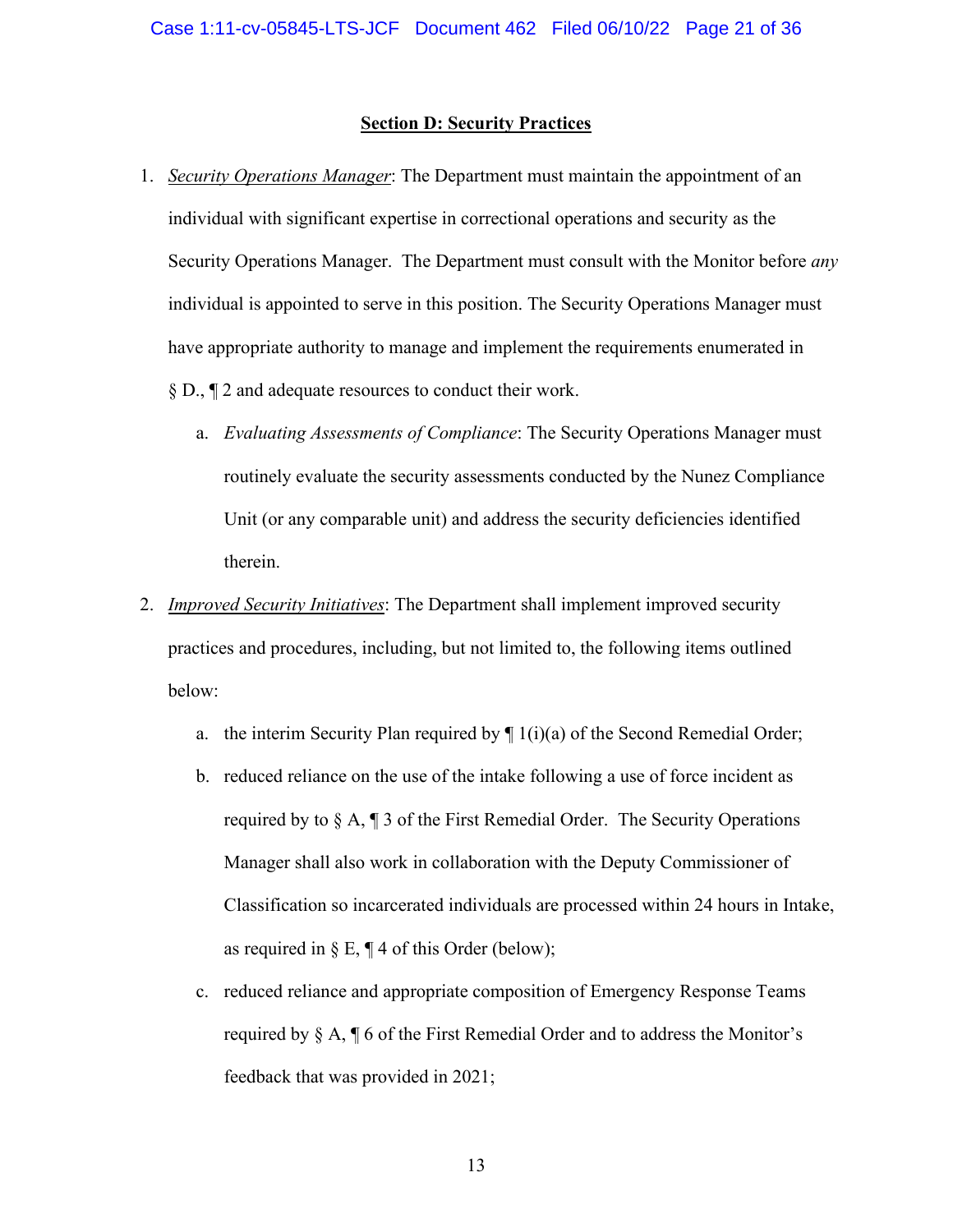#### **Section D: Security Practices**

- <span id="page-20-1"></span><span id="page-20-0"></span>1. *Security Operations Manager*: The Department must maintain the appointment of an individual with significant expertise in correctional operations and security as the Security Operations Manager. The Department must consult with the Monitor before *any* individual is appointed to serve in this position. The Security Operations Manager must have appropriate authority to manage and implement the requirements enumerated in § D., ¶ 2 and adequate resources to conduct their work.
	- a. *Evaluating Assessments of Compliance*: The Security Operations Manager must routinely evaluate the security assessments conducted by the Nunez Compliance Unit (or any comparable unit) and address the security deficiencies identified therein.
- <span id="page-20-3"></span><span id="page-20-2"></span>2. *Improved Security Initiatives*: The Department shall implement improved security practices and procedures, including, but not limited to, the following items outlined below:
	- a. the interim Security Plan required by  $\P$  1(i)(a) of the Second Remedial Order;
	- b. reduced reliance on the use of the intake following a use of force incident as required by to  $\S$  A,  $\P$  3 of the First Remedial Order. The Security Operations Manager shall also work in collaboration with the Deputy Commissioner of Classification so incarcerated individuals are processed within 24 hours in Intake, as required in § E,  $\P$  4 of this Order (below);
	- c. reduced reliance and appropriate composition of Emergency Response Teams required by § A, ¶ 6 of the First Remedial Order and to address the Monitor's feedback that was provided in 2021;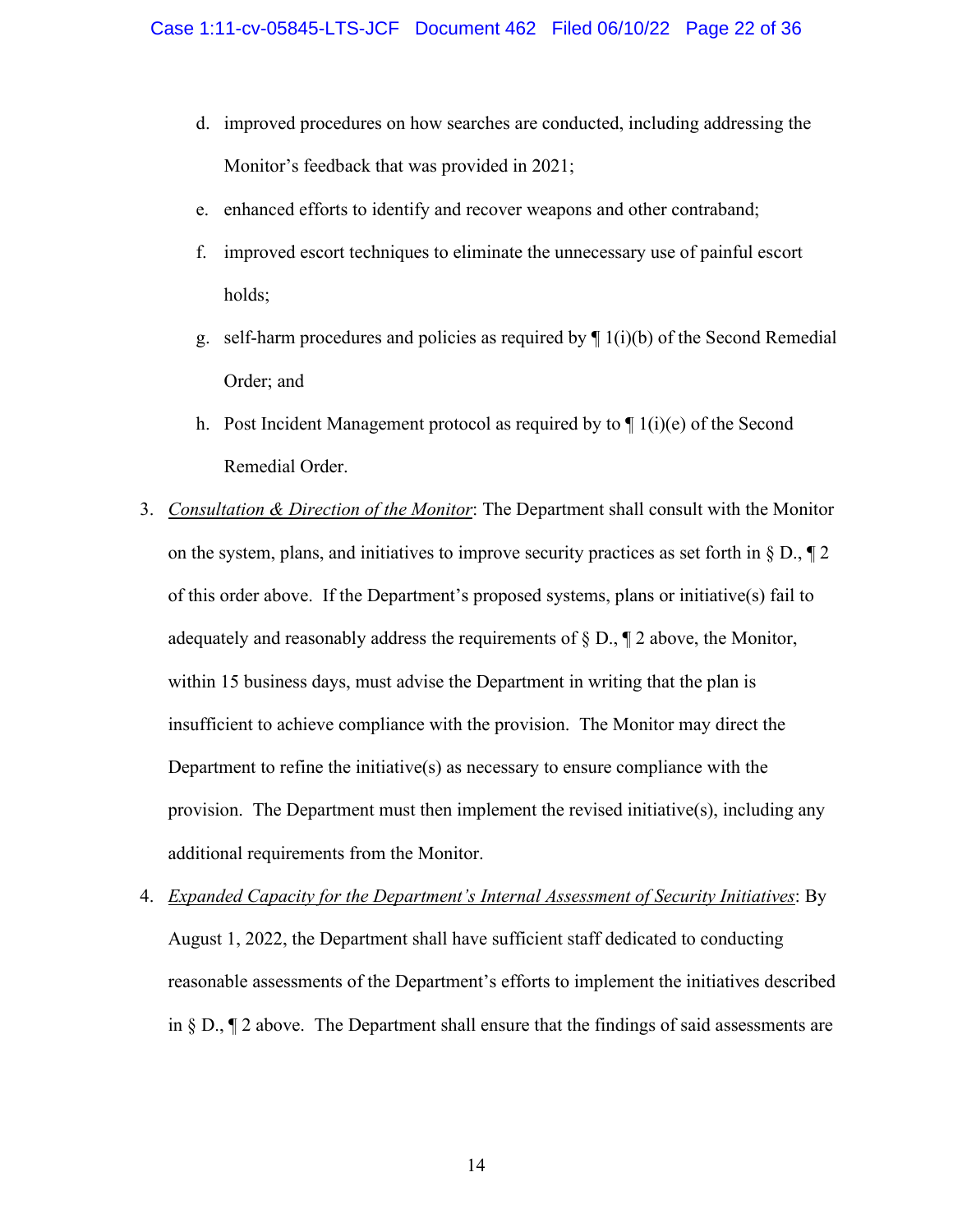- d. improved procedures on how searches are conducted, including addressing the Monitor's feedback that was provided in 2021;
- e. enhanced efforts to identify and recover weapons and other contraband;
- f. improved escort techniques to eliminate the unnecessary use of painful escort holds;
- g. self-harm procedures and policies as required by  $\P$  1(i)(b) of the Second Remedial Order; and
- h. Post Incident Management protocol as required by to  $\P$  1(i)(e) of the Second Remedial Order.
- <span id="page-21-0"></span>3. *Consultation & Direction of the Monitor*: The Department shall consult with the Monitor on the system, plans, and initiatives to improve security practices as set forth in  $\S$  D.,  $\P$  2 of this order above. If the Department's proposed systems, plans or initiative(s) fail to adequately and reasonably address the requirements of § D., ¶ 2 above, the Monitor, within 15 business days, must advise the Department in writing that the plan is insufficient to achieve compliance with the provision. The Monitor may direct the Department to refine the initiative(s) as necessary to ensure compliance with the provision. The Department must then implement the revised initiative(s), including any additional requirements from the Monitor.
- <span id="page-21-1"></span>4. *Expanded Capacity for the Department's Internal Assessment of Security Initiatives*: By August 1, 2022, the Department shall have sufficient staff dedicated to conducting reasonable assessments of the Department's efforts to implement the initiatives described in § D., ¶ 2 above. The Department shall ensure that the findings of said assessments are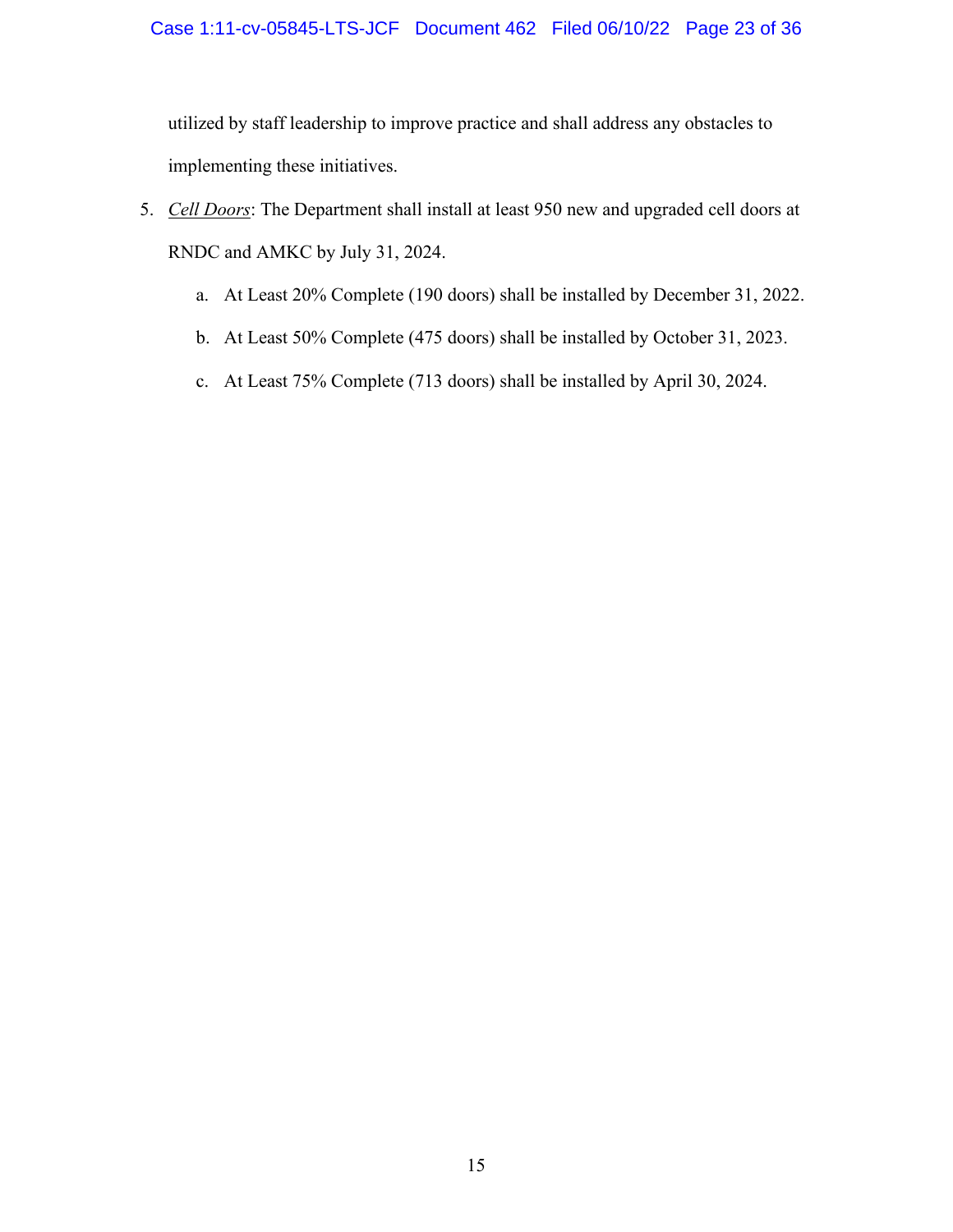## Case 1:11-cv-05845-LTS-JCF Document 462 Filed 06/10/22 Page 23 of 36

utilized by staff leadership to improve practice and shall address any obstacles to implementing these initiatives.

- <span id="page-22-0"></span>5. *Cell Doors*: The Department shall install at least 950 new and upgraded cell doors at RNDC and AMKC by July 31, 2024.
	- a. At Least 20% Complete (190 doors) shall be installed by December 31, 2022.
	- b. At Least 50% Complete (475 doors) shall be installed by October 31, 2023.
	- c. At Least 75% Complete (713 doors) shall be installed by April 30, 2024.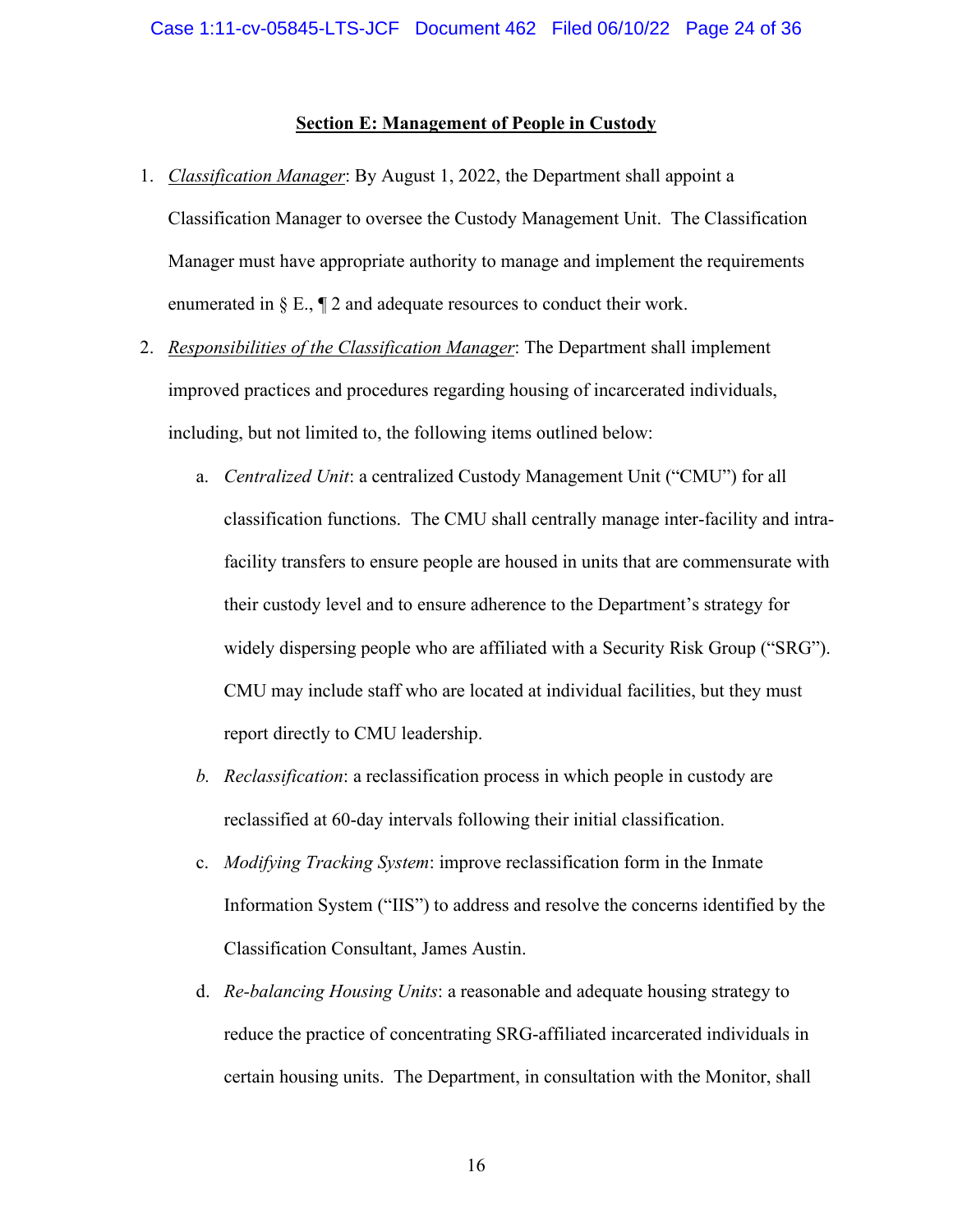#### **Section E: Management of People in Custody**

- <span id="page-23-1"></span><span id="page-23-0"></span>1. *Classification Manager*: By August 1, 2022, the Department shall appoint a Classification Manager to oversee the Custody Management Unit. The Classification Manager must have appropriate authority to manage and implement the requirements enumerated in  $\S E$ ,  $\P 2$  and adequate resources to conduct their work.
- <span id="page-23-2"></span>2. *Responsibilities of the Classification Manager*: The Department shall implement improved practices and procedures regarding housing of incarcerated individuals, including, but not limited to, the following items outlined below:
	- a. *Centralized Unit*: a centralized Custody Management Unit ("CMU") for all classification functions. The CMU shall centrally manage inter-facility and intrafacility transfers to ensure people are housed in units that are commensurate with their custody level and to ensure adherence to the Department's strategy for widely dispersing people who are affiliated with a Security Risk Group ("SRG"). CMU may include staff who are located at individual facilities, but they must report directly to CMU leadership.
	- *b. Reclassification*: a reclassification process in which people in custody are reclassified at 60-day intervals following their initial classification.
	- c. *Modifying Tracking System*: improve reclassification form in the Inmate Information System ("IIS") to address and resolve the concerns identified by the Classification Consultant, James Austin.
	- d. *Re-balancing Housing Units*: a reasonable and adequate housing strategy to reduce the practice of concentrating SRG-affiliated incarcerated individuals in certain housing units. The Department, in consultation with the Monitor, shall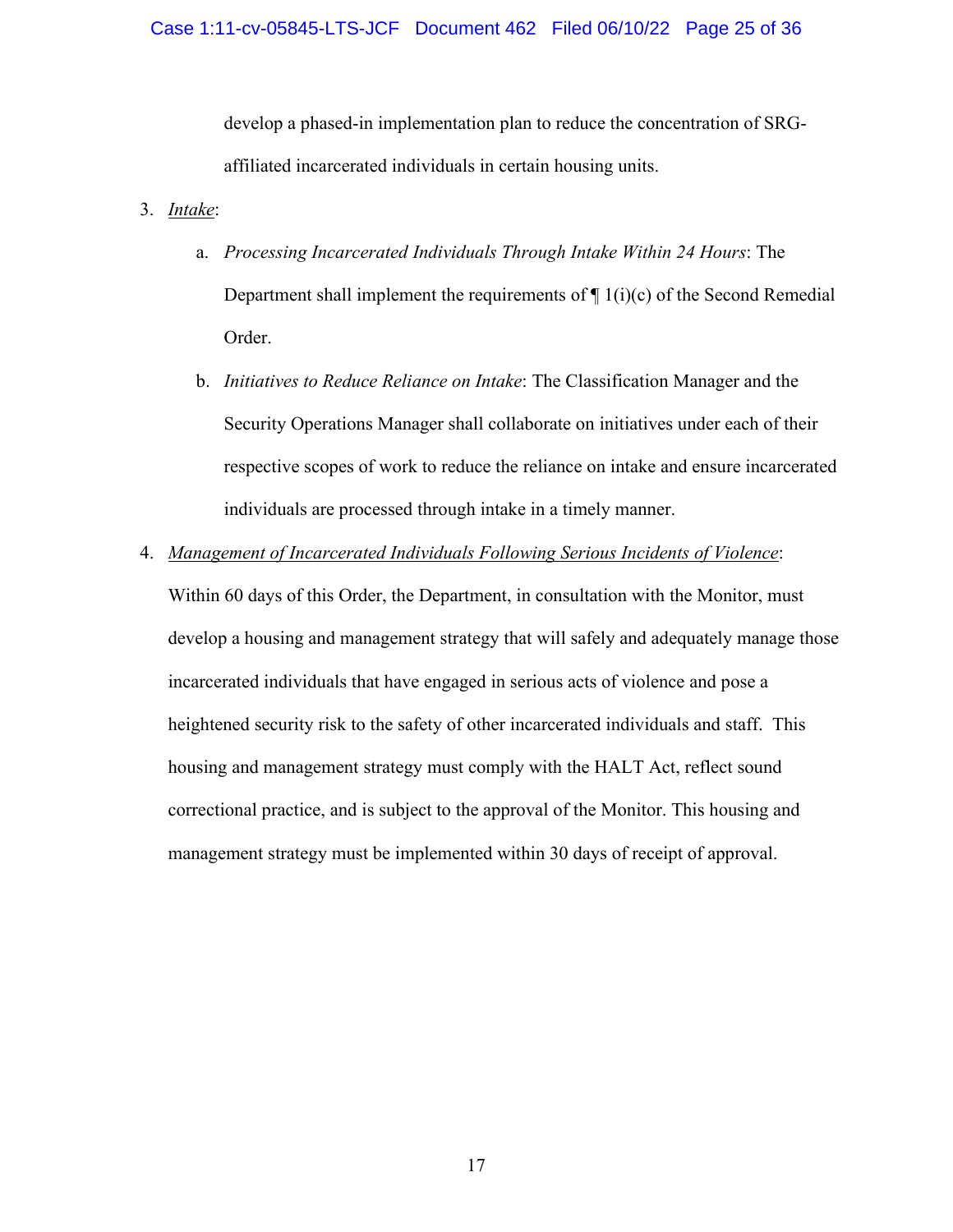develop a phased-in implementation plan to reduce the concentration of SRGaffiliated incarcerated individuals in certain housing units.

## <span id="page-24-1"></span><span id="page-24-0"></span>3. *Intake*:

- a. *Processing Incarcerated Individuals Through Intake Within 24 Hours*: The Department shall implement the requirements of  $\P$  1(i)(c) of the Second Remedial Order.
- b. *Initiatives to Reduce Reliance on Intake*: The Classification Manager and the Security Operations Manager shall collaborate on initiatives under each of their respective scopes of work to reduce the reliance on intake and ensure incarcerated individuals are processed through intake in a timely manner.
- <span id="page-24-2"></span>4. *Management of Incarcerated Individuals Following Serious Incidents of Violence*: Within 60 days of this Order, the Department, in consultation with the Monitor, must develop a housing and management strategy that will safely and adequately manage those incarcerated individuals that have engaged in serious acts of violence and pose a heightened security risk to the safety of other incarcerated individuals and staff. This housing and management strategy must comply with the HALT Act, reflect sound correctional practice, and is subject to the approval of the Monitor. This housing and management strategy must be implemented within 30 days of receipt of approval.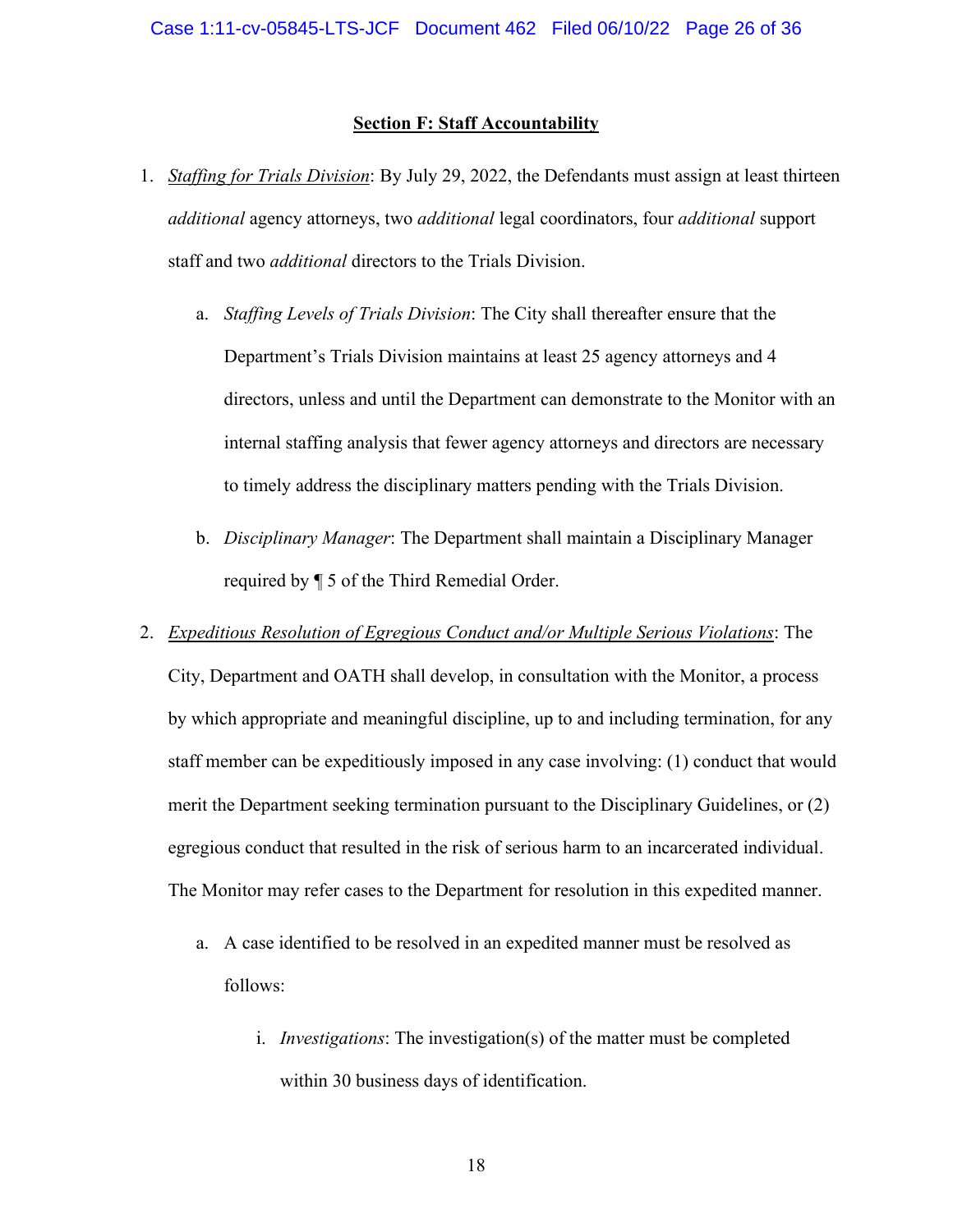#### **Section F: Staff Accountability**

- <span id="page-25-1"></span><span id="page-25-0"></span>1. *Staffing for Trials Division*: By July 29, 2022, the Defendants must assign at least thirteen *additional* agency attorneys, two *additional* legal coordinators, four *additional* support staff and two *additional* directors to the Trials Division.
	- a. *Staffing Levels of Trials Division*: The City shall thereafter ensure that the Department's Trials Division maintains at least 25 agency attorneys and 4 directors, unless and until the Department can demonstrate to the Monitor with an internal staffing analysis that fewer agency attorneys and directors are necessary to timely address the disciplinary matters pending with the Trials Division.
	- b. *Disciplinary Manager*: The Department shall maintain a Disciplinary Manager required by ¶ 5 of the Third Remedial Order.
- <span id="page-25-2"></span>2. *Expeditious Resolution of Egregious Conduct and/or Multiple Serious Violations*: The City, Department and OATH shall develop, in consultation with the Monitor, a process by which appropriate and meaningful discipline, up to and including termination, for any staff member can be expeditiously imposed in any case involving: (1) conduct that would merit the Department seeking termination pursuant to the Disciplinary Guidelines, or (2) egregious conduct that resulted in the risk of serious harm to an incarcerated individual. The Monitor may refer cases to the Department for resolution in this expedited manner.
	- a. A case identified to be resolved in an expedited manner must be resolved as follows:
		- i. *Investigations*: The investigation(s) of the matter must be completed within 30 business days of identification.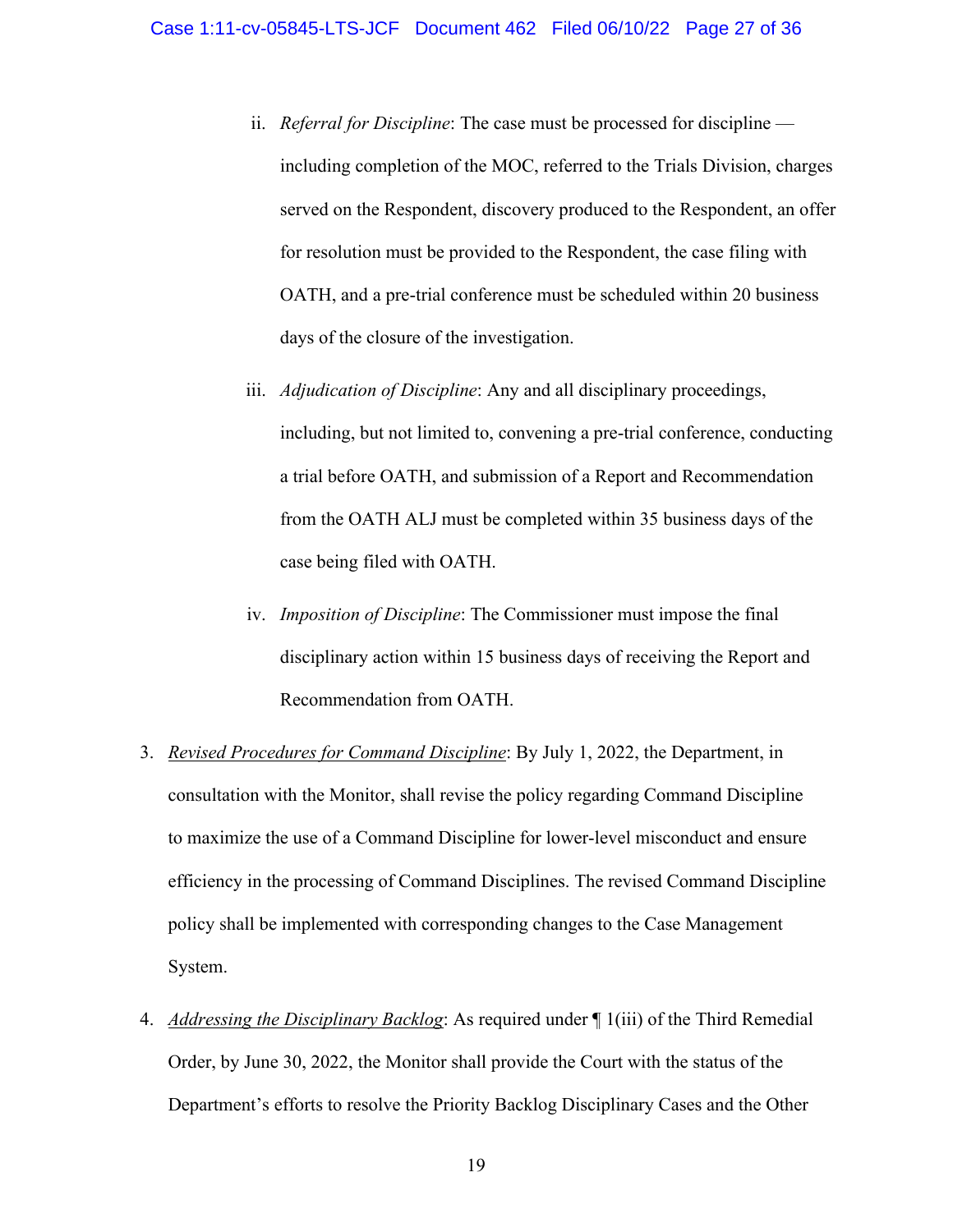- ii. *Referral for Discipline*: The case must be processed for discipline including completion of the MOC, referred to the Trials Division, charges served on the Respondent, discovery produced to the Respondent, an offer for resolution must be provided to the Respondent, the case filing with OATH, and a pre-trial conference must be scheduled within 20 business days of the closure of the investigation.
- iii. *Adjudication of Discipline*: Any and all disciplinary proceedings, including, but not limited to, convening a pre-trial conference, conducting a trial before OATH, and submission of a Report and Recommendation from the OATH ALJ must be completed within 35 business days of the case being filed with OATH.
- iv. *Imposition of Discipline*: The Commissioner must impose the final disciplinary action within 15 business days of receiving the Report and Recommendation from OATH.
- <span id="page-26-0"></span>3. *Revised Procedures for Command Discipline*: By July 1, 2022, the Department, in consultation with the Monitor, shall revise the policy regarding Command Discipline to maximize the use of a Command Discipline for lower-level misconduct and ensure efficiency in the processing of Command Disciplines. The revised Command Discipline policy shall be implemented with corresponding changes to the Case Management System.
- <span id="page-26-1"></span>4. *Addressing the Disciplinary Backlog*: As required under ¶ 1(iii) of the Third Remedial Order, by June 30, 2022, the Monitor shall provide the Court with the status of the Department's efforts to resolve the Priority Backlog Disciplinary Cases and the Other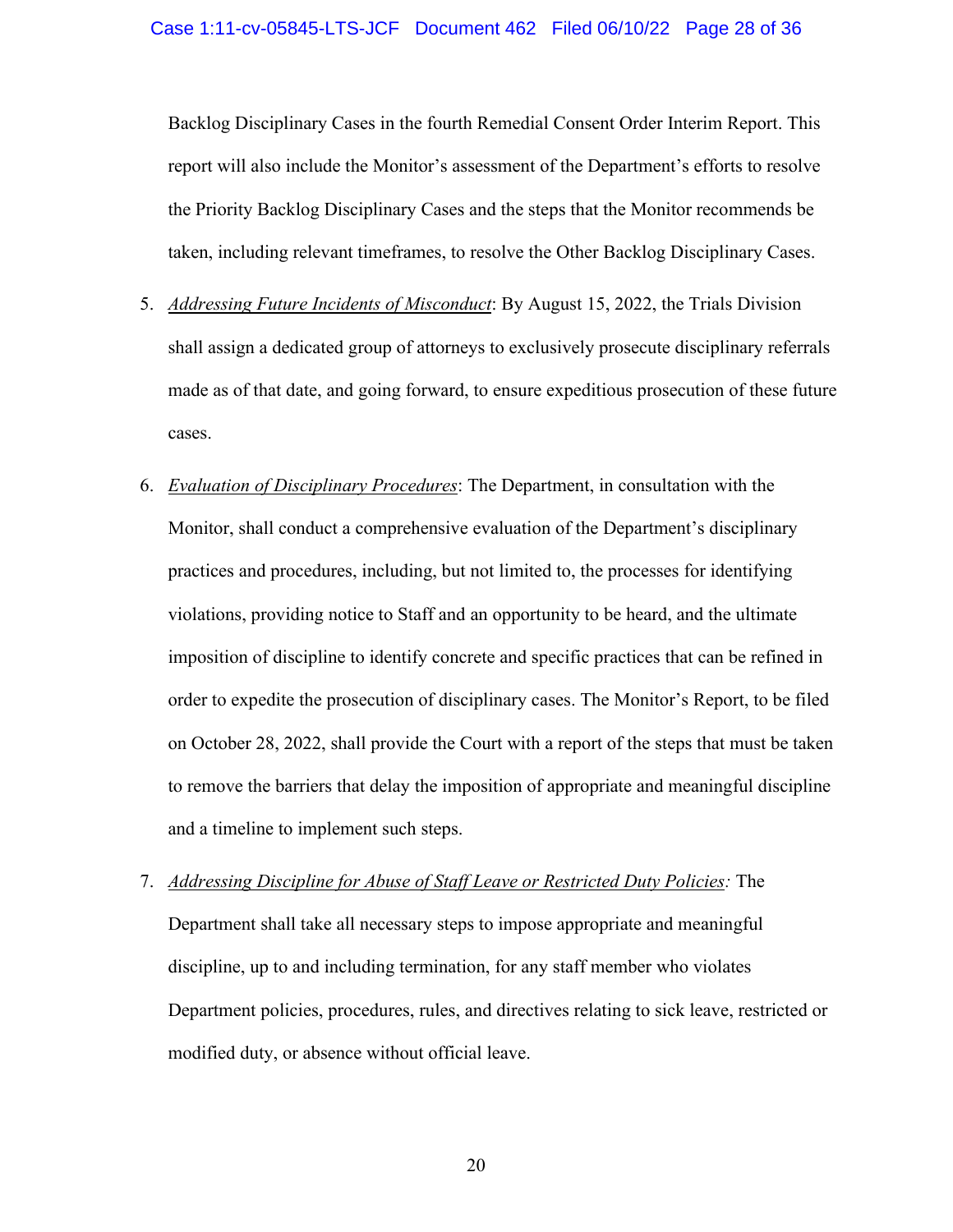Backlog Disciplinary Cases in the fourth Remedial Consent Order Interim Report. This report will also include the Monitor's assessment of the Department's efforts to resolve the Priority Backlog Disciplinary Cases and the steps that the Monitor recommends be taken, including relevant timeframes, to resolve the Other Backlog Disciplinary Cases.

- <span id="page-27-0"></span>5. *Addressing Future Incidents of Misconduct*: By August 15, 2022, the Trials Division shall assign a dedicated group of attorneys to exclusively prosecute disciplinary referrals made as of that date, and going forward, to ensure expeditious prosecution of these future cases.
- <span id="page-27-1"></span>6. *Evaluation of Disciplinary Procedures*: The Department, in consultation with the Monitor, shall conduct a comprehensive evaluation of the Department's disciplinary practices and procedures, including, but not limited to, the processes for identifying violations, providing notice to Staff and an opportunity to be heard, and the ultimate imposition of discipline to identify concrete and specific practices that can be refined in order to expedite the prosecution of disciplinary cases. The Monitor's Report, to be filed on October 28, 2022, shall provide the Court with a report of the steps that must be taken to remove the barriers that delay the imposition of appropriate and meaningful discipline and a timeline to implement such steps.
- <span id="page-27-2"></span>7. *Addressing Discipline for Abuse of Staff Leave or Restricted Duty Policies:* The Department shall take all necessary steps to impose appropriate and meaningful discipline, up to and including termination, for any staff member who violates Department policies, procedures, rules, and directives relating to sick leave, restricted or modified duty, or absence without official leave.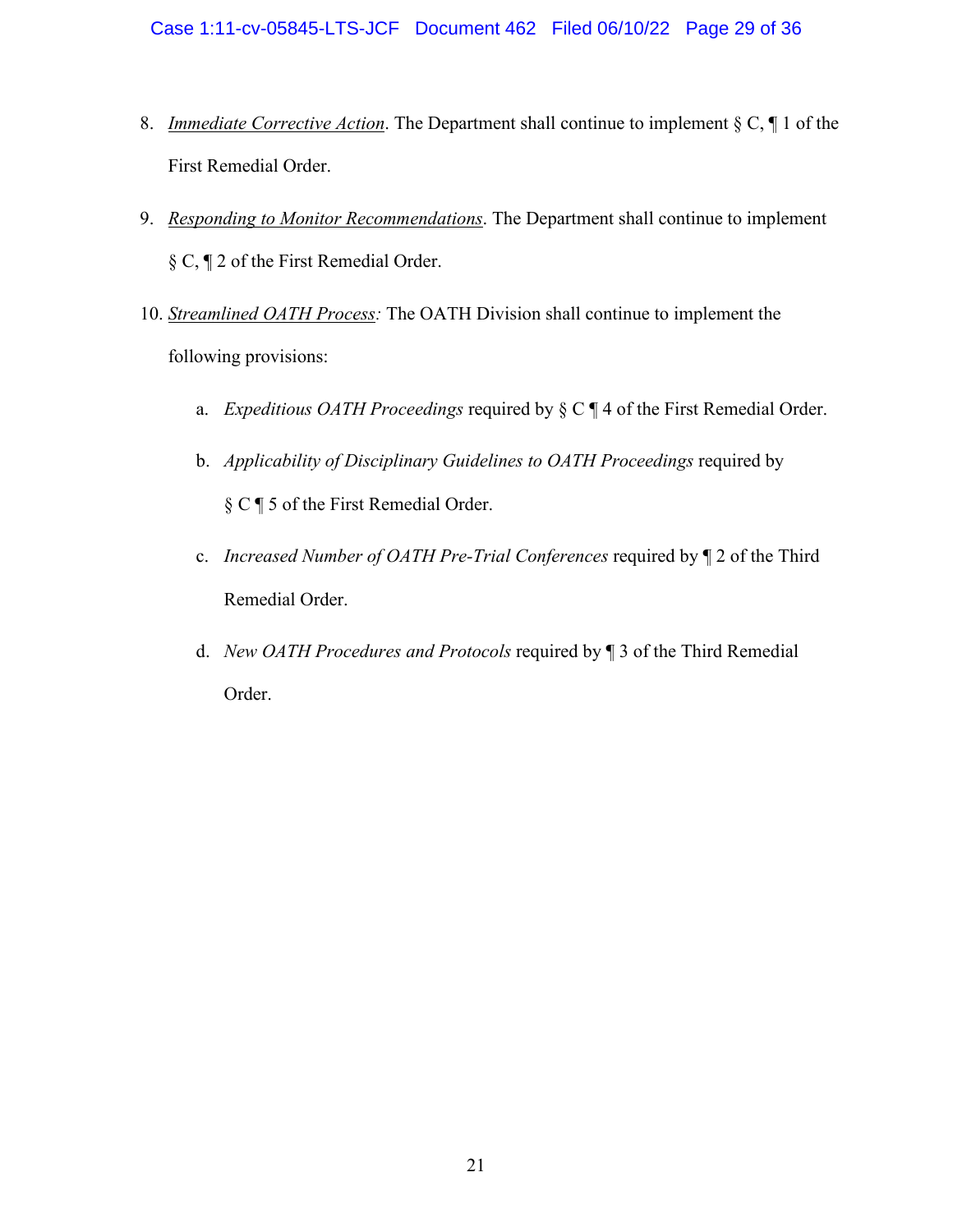- <span id="page-28-0"></span>8. *Immediate Corrective Action*. The Department shall continue to implement § C, ¶ 1 of the First Remedial Order.
- <span id="page-28-1"></span>9. *Responding to Monitor Recommendations*. The Department shall continue to implement § C, ¶ 2 of the First Remedial Order.
- <span id="page-28-2"></span>10. *Streamlined OATH Process:* The OATH Division shall continue to implement the following provisions:
	- a. *Expeditious OATH Proceedings* required by § C ¶ 4 of the First Remedial Order.
	- b. *Applicability of Disciplinary Guidelines to OATH Proceedings* required by § C ¶ 5 of the First Remedial Order.
	- c. *Increased Number of OATH Pre-Trial Conferences* required by ¶ 2 of the Third Remedial Order.
	- d. *New OATH Procedures and Protocols* required by ¶ 3 of the Third Remedial Order.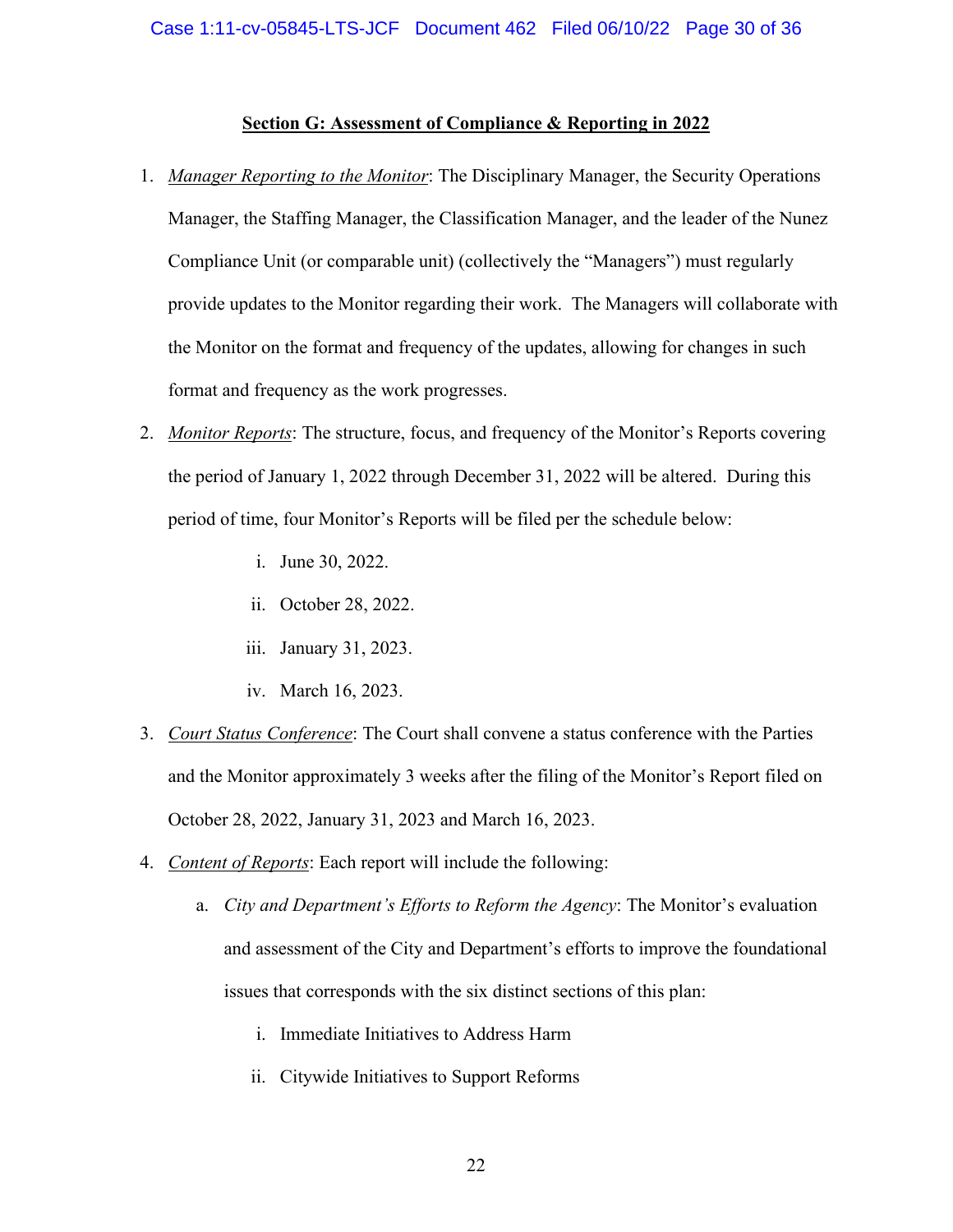## **Section G: Assessment of Compliance & Reporting in 2022**

- <span id="page-29-1"></span><span id="page-29-0"></span>1. *Manager Reporting to the Monitor*: The Disciplinary Manager, the Security Operations Manager, the Staffing Manager, the Classification Manager, and the leader of the Nunez Compliance Unit (or comparable unit) (collectively the "Managers") must regularly provide updates to the Monitor regarding their work. The Managers will collaborate with the Monitor on the format and frequency of the updates, allowing for changes in such format and frequency as the work progresses.
- <span id="page-29-2"></span>2. *Monitor Reports*: The structure, focus, and frequency of the Monitor's Reports covering the period of January 1, 2022 through December 31, 2022 will be altered. During this period of time, four Monitor's Reports will be filed per the schedule below:
	- i. June 30, 2022.
	- ii. October 28, 2022.
	- iii. January 31, 2023.
	- iv. March 16, 2023.
- <span id="page-29-3"></span>3. *Court Status Conference*: The Court shall convene a status conference with the Parties and the Monitor approximately 3 weeks after the filing of the Monitor's Report filed on October 28, 2022, January 31, 2023 and March 16, 2023.
- <span id="page-29-4"></span>4. *Content of Reports*: Each report will include the following:
	- a. *City and Department's Efforts to Reform the Agency*: The Monitor's evaluation and assessment of the City and Department's efforts to improve the foundational issues that corresponds with the six distinct sections of this plan:
		- i. Immediate Initiatives to Address Harm
		- ii. Citywide Initiatives to Support Reforms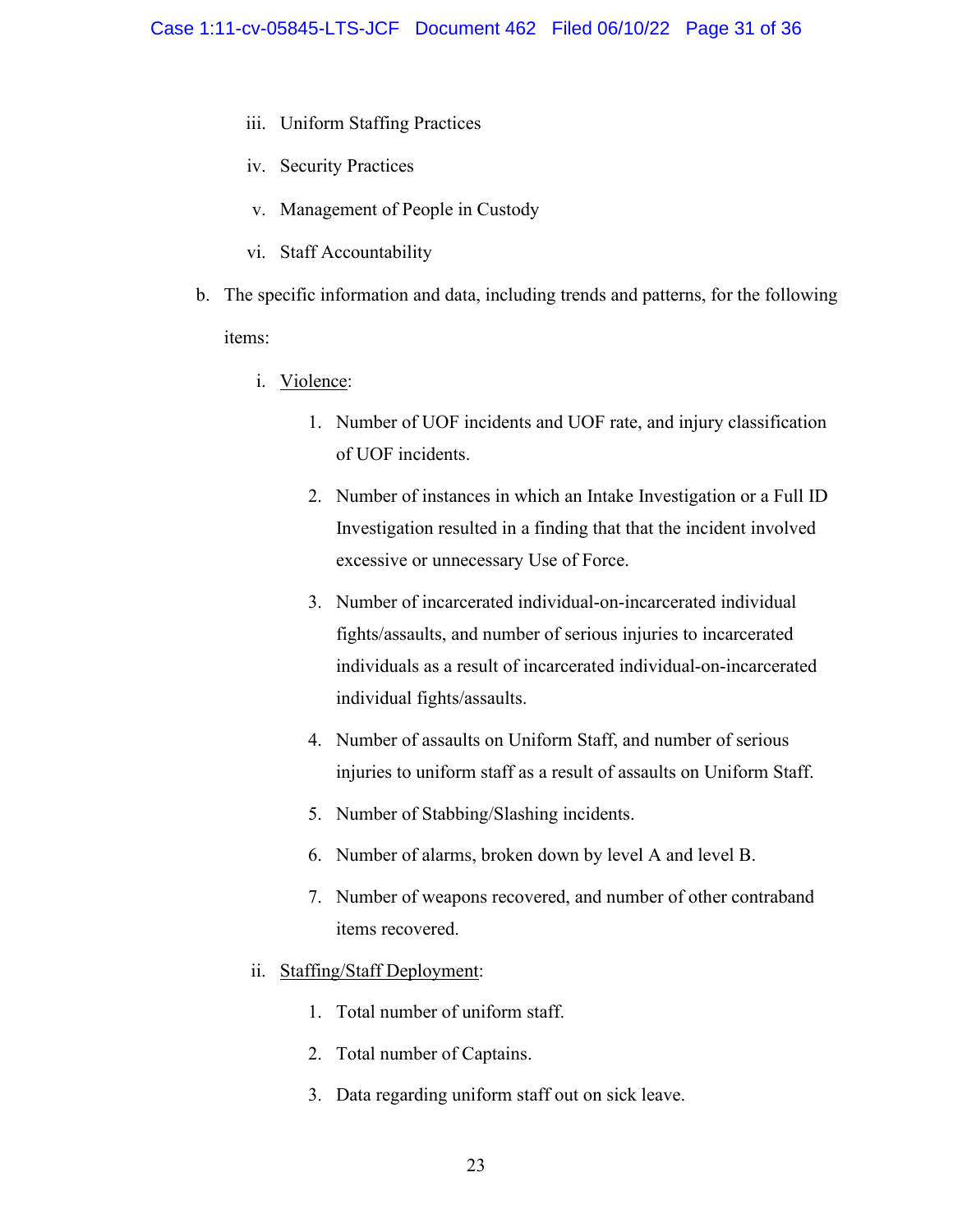- iii. Uniform Staffing Practices
- iv. Security Practices
- v. Management of People in Custody
- vi. Staff Accountability
- b. The specific information and data, including trends and patterns, for the following items:
	- i. Violence:
		- 1. Number of UOF incidents and UOF rate, and injury classification of UOF incidents.
		- 2. Number of instances in which an Intake Investigation or a Full ID Investigation resulted in a finding that that the incident involved excessive or unnecessary Use of Force.
		- 3. Number of incarcerated individual-on-incarcerated individual fights/assaults, and number of serious injuries to incarcerated individuals as a result of incarcerated individual-on-incarcerated individual fights/assaults.
		- 4. Number of assaults on Uniform Staff, and number of serious injuries to uniform staff as a result of assaults on Uniform Staff.
		- 5. Number of Stabbing/Slashing incidents.
		- 6. Number of alarms, broken down by level A and level B.
		- 7. Number of weapons recovered, and number of other contraband items recovered.
	- ii. Staffing/Staff Deployment:
		- 1. Total number of uniform staff.
		- 2. Total number of Captains.
		- 3. Data regarding uniform staff out on sick leave.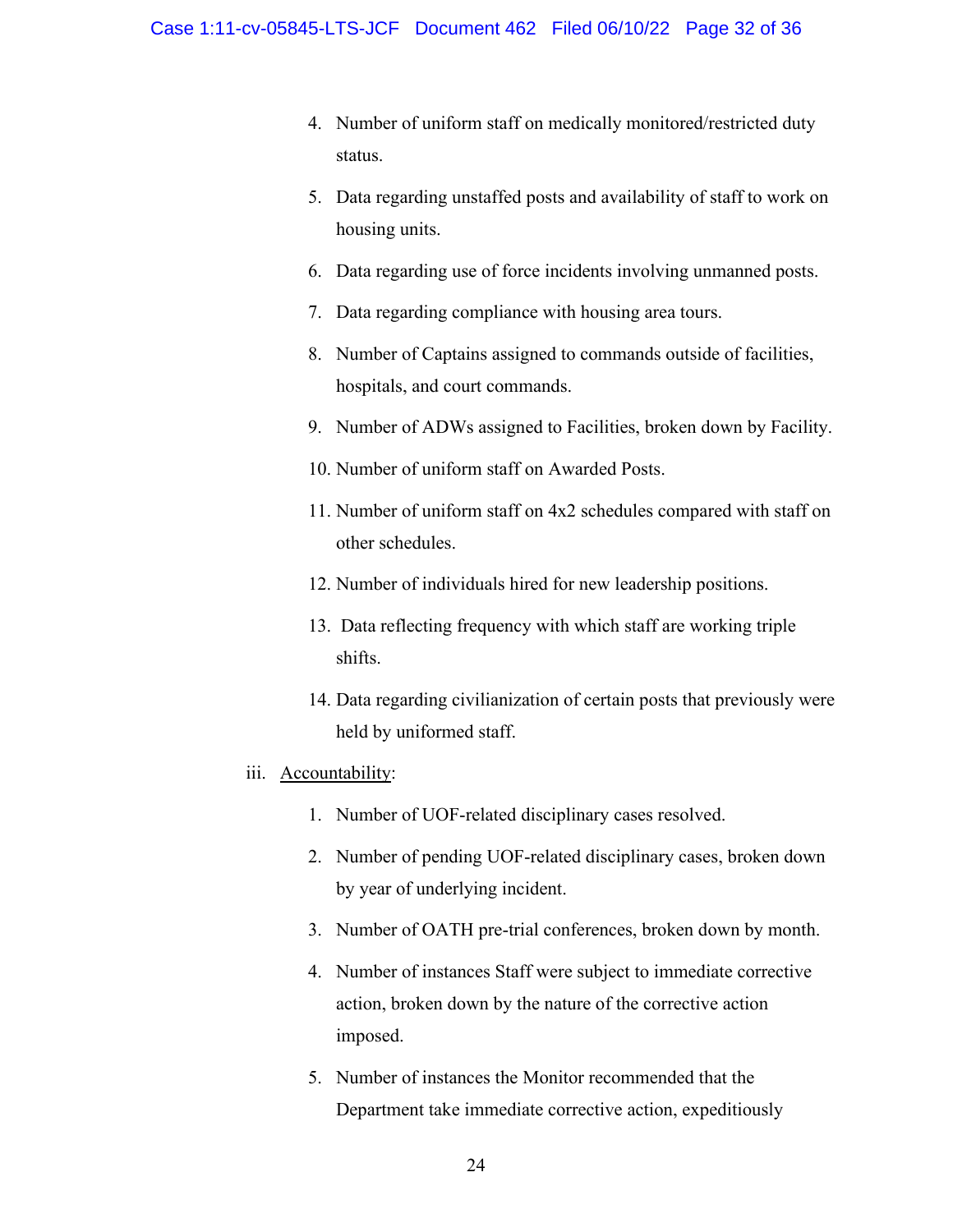- 4. Number of uniform staff on medically monitored/restricted duty status.
- 5. Data regarding unstaffed posts and availability of staff to work on housing units.
- 6. Data regarding use of force incidents involving unmanned posts.
- 7. Data regarding compliance with housing area tours.
- 8. Number of Captains assigned to commands outside of facilities, hospitals, and court commands.
- 9. Number of ADWs assigned to Facilities, broken down by Facility.
- 10. Number of uniform staff on Awarded Posts.
- 11. Number of uniform staff on 4x2 schedules compared with staff on other schedules.
- 12. Number of individuals hired for new leadership positions.
- 13. Data reflecting frequency with which staff are working triple shifts.
- 14. Data regarding civilianization of certain posts that previously were held by uniformed staff.
- iii. Accountability:
	- 1. Number of UOF-related disciplinary cases resolved.
	- 2. Number of pending UOF-related disciplinary cases, broken down by year of underlying incident.
	- 3. Number of OATH pre-trial conferences, broken down by month.
	- 4. Number of instances Staff were subject to immediate corrective action, broken down by the nature of the corrective action imposed.
	- 5. Number of instances the Monitor recommended that the Department take immediate corrective action, expeditiously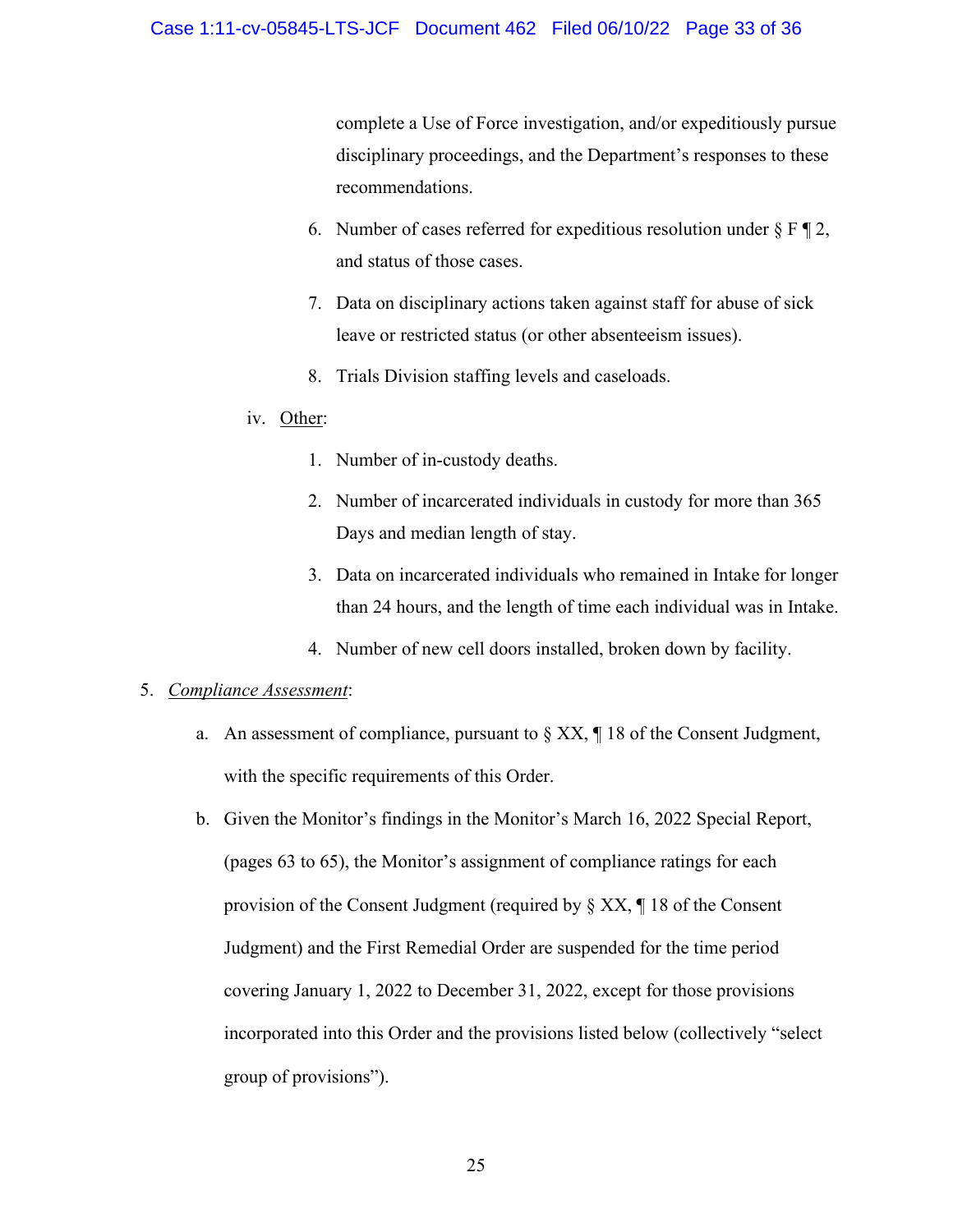complete a Use of Force investigation, and/or expeditiously pursue disciplinary proceedings, and the Department's responses to these recommendations.

- 6. Number of cases referred for expeditious resolution under  $\S$  F  $\P$  2, and status of those cases.
- 7. Data on disciplinary actions taken against staff for abuse of sick leave or restricted status (or other absenteeism issues).
- 8. Trials Division staffing levels and caseloads.
- iv. Other:
	- 1. Number of in-custody deaths.
	- 2. Number of incarcerated individuals in custody for more than 365 Days and median length of stay.
	- 3. Data on incarcerated individuals who remained in Intake for longer than 24 hours, and the length of time each individual was in Intake.
	- 4. Number of new cell doors installed, broken down by facility.

## <span id="page-32-0"></span>5. *Compliance Assessment*:

- a. An assessment of compliance, pursuant to  $\S XX$ ,  $\P 18$  of the Consent Judgment, with the specific requirements of this Order.
- b. Given the Monitor's findings in the Monitor's March 16, 2022 Special Report, (pages 63 to 65), the Monitor's assignment of compliance ratings for each provision of the Consent Judgment (required by § XX, ¶ 18 of the Consent Judgment) and the First Remedial Order are suspended for the time period covering January 1, 2022 to December 31, 2022, except for those provisions incorporated into this Order and the provisions listed below (collectively "select group of provisions").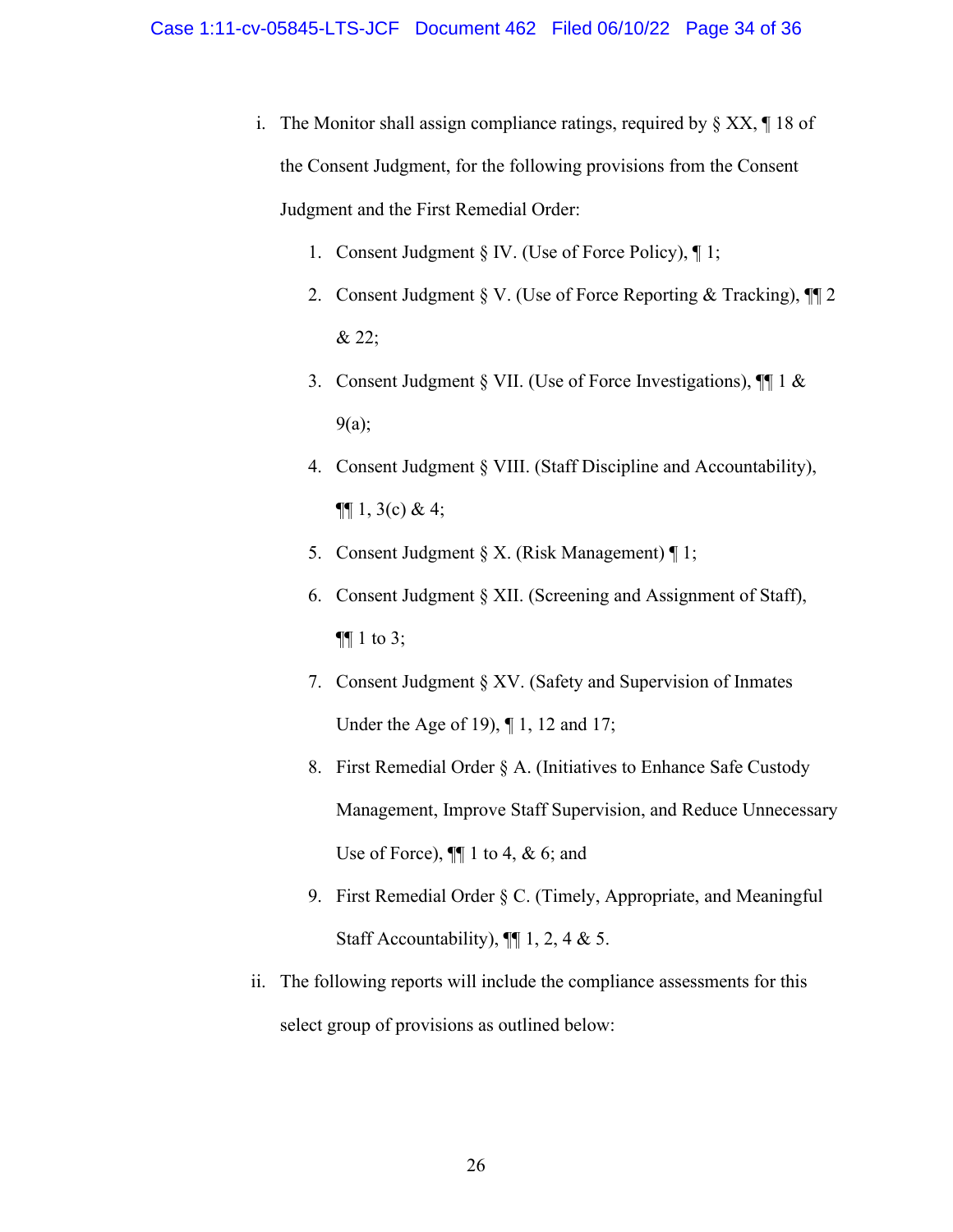- i. The Monitor shall assign compliance ratings, required by  $\S X X$ ,  $\P 18$  of the Consent Judgment, for the following provisions from the Consent Judgment and the First Remedial Order:
	- 1. Consent Judgment § IV. (Use of Force Policy), ¶ 1;
	- 2. Consent Judgment § V. (Use of Force Reporting & Tracking), ¶¶ 2 & 22;
	- 3. Consent Judgment § VII. (Use of Force Investigations), ¶¶ 1 & 9(a);
	- 4. Consent Judgment § VIII. (Staff Discipline and Accountability),  $\P\P$  1, 3(c) & 4;
	- 5. Consent Judgment  $\S X$ . (Risk Management)  $\P 1$ ;
	- 6. Consent Judgment § XII. (Screening and Assignment of Staff), ¶¶ 1 to 3;
	- 7. Consent Judgment § XV. (Safety and Supervision of Inmates Under the Age of 19), ¶ 1, 12 and 17;
	- 8. First Remedial Order § A. (Initiatives to Enhance Safe Custody Management, Improve Staff Supervision, and Reduce Unnecessary Use of Force),  $\P\P$  1 to 4, & 6; and
	- 9. First Remedial Order § C. (Timely, Appropriate, and Meaningful Staff Accountability),  $\P\P$  1, 2, 4 & 5.
- ii. The following reports will include the compliance assessments for this select group of provisions as outlined below: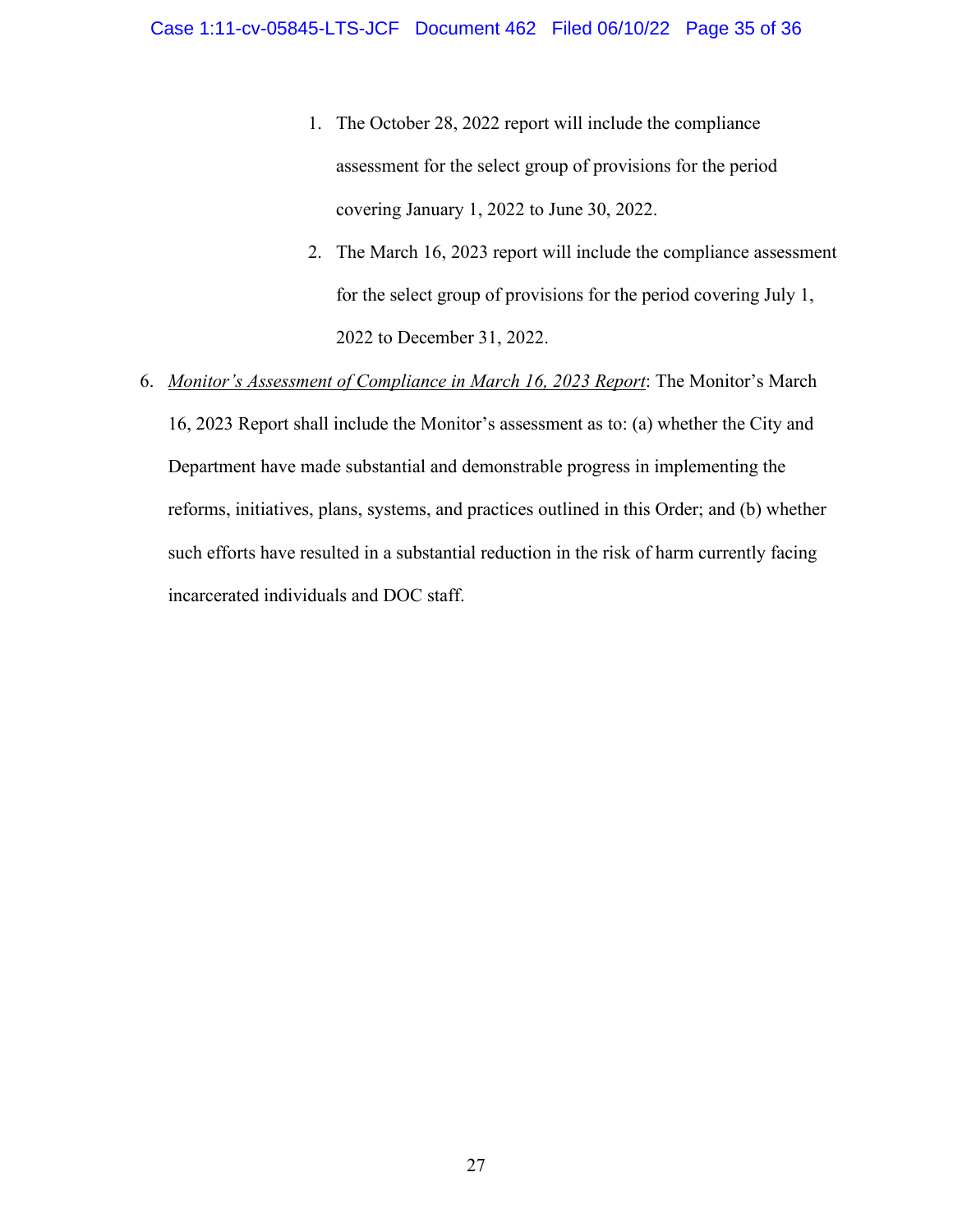- 1. The October 28, 2022 report will include the compliance assessment for the select group of provisions for the period covering January 1, 2022 to June 30, 2022.
- 2. The March 16, 2023 report will include the compliance assessment for the select group of provisions for the period covering July 1, 2022 to December 31, 2022.
- <span id="page-34-0"></span>6. *Monitor's Assessment of Compliance in March 16, 2023 Report*: The Monitor's March 16, 2023 Report shall include the Monitor's assessment as to: (a) whether the City and Department have made substantial and demonstrable progress in implementing the reforms, initiatives, plans, systems, and practices outlined in this Order; and (b) whether such efforts have resulted in a substantial reduction in the risk of harm currently facing incarcerated individuals and DOC staff.